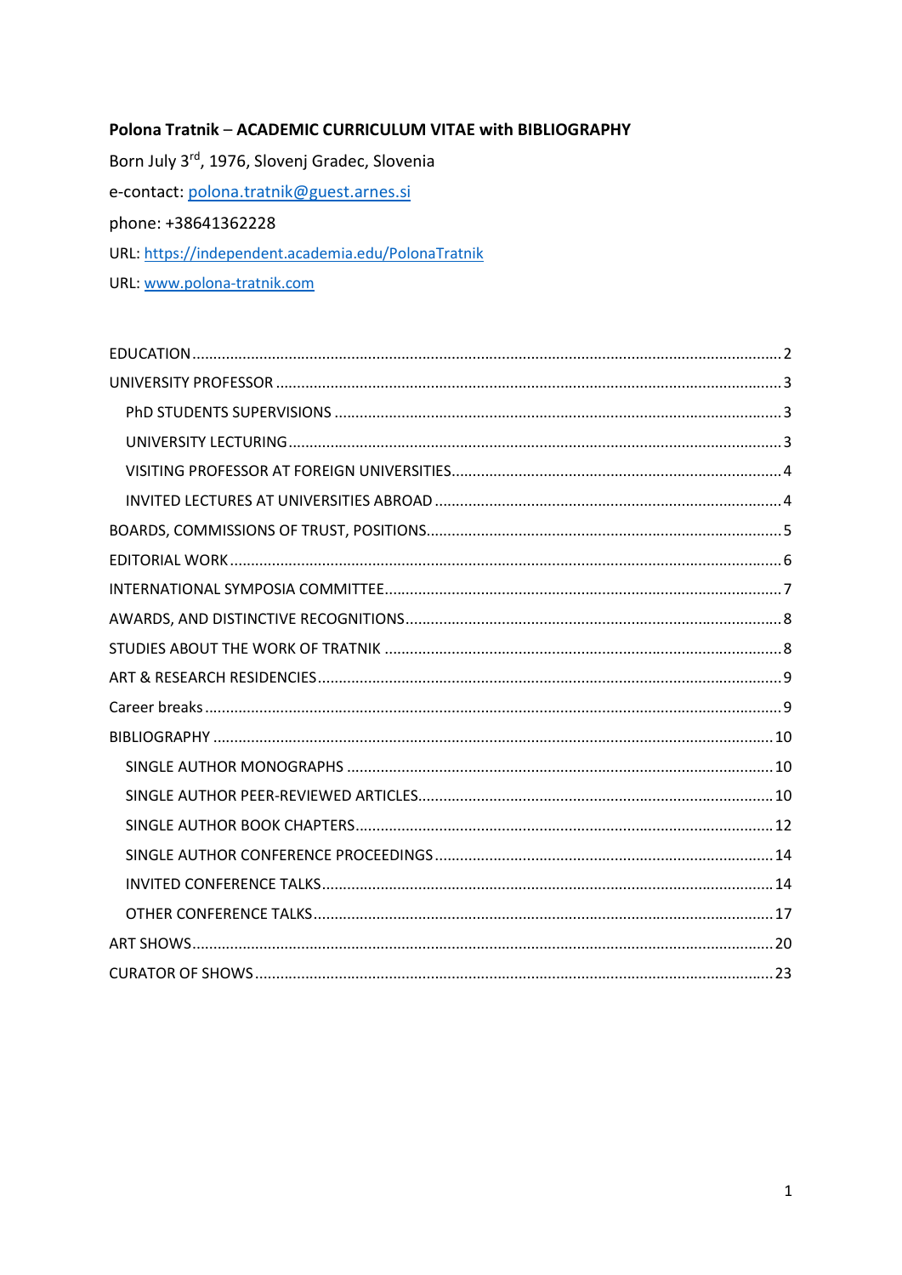# Polona Tratnik - ACADEMIC CURRICULUM VITAE with BIBLIOGRAPHY

Born July 3rd, 1976, Slovenj Gradec, Slovenia e-contact: polona.tratnik@guest.arnes.si phone: +38641362228 URL: https://independent.academia.edu/PolonaTratnik URL: www.polona-tratnik.com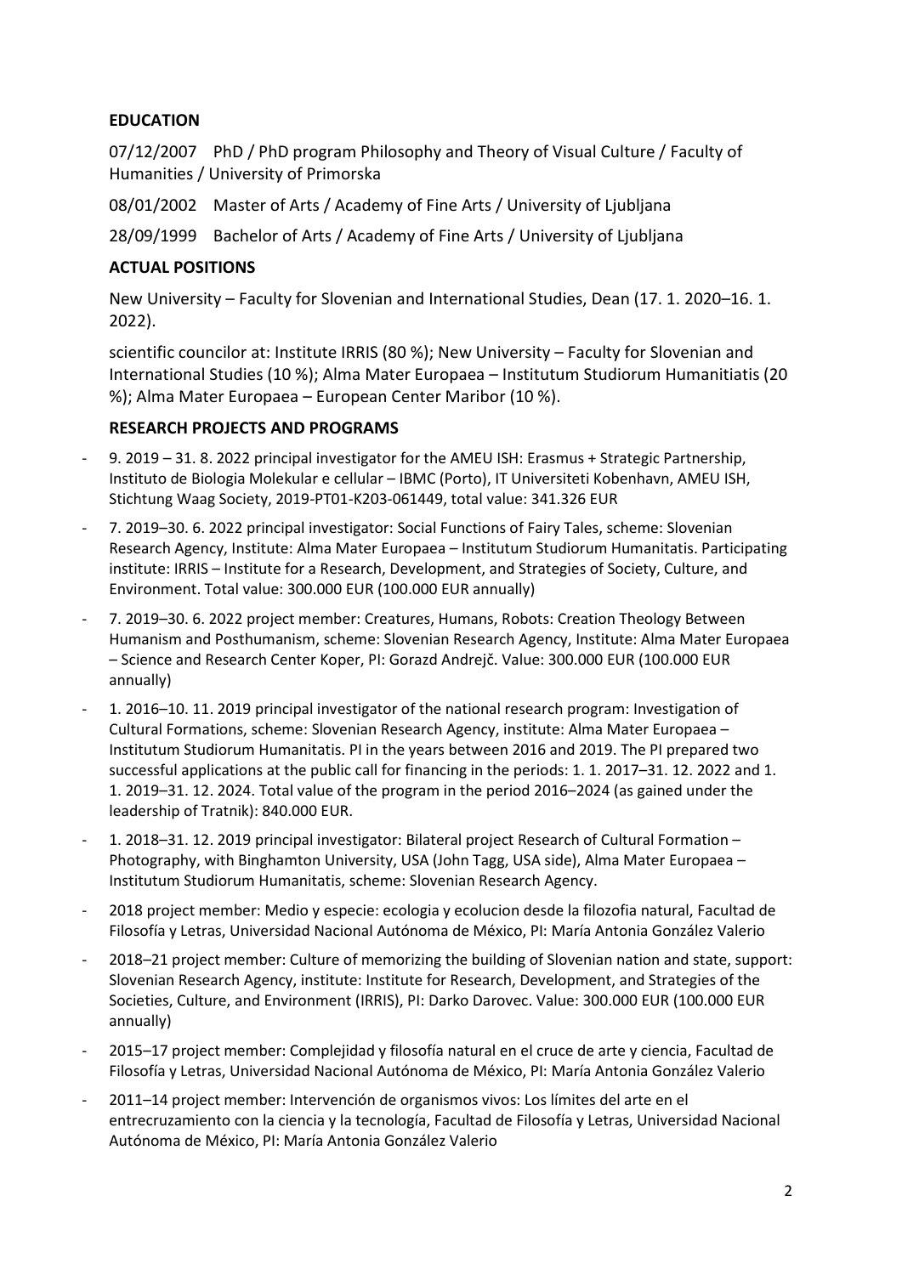# EDUCATION

07/12/2007 PhD / PhD program Philosophy and Theory of Visual Culture / Faculty of Humanities / University of Primorska

08/01/2002 Master of Arts / Academy of Fine Arts / University of Ljubljana

28/09/1999 Bachelor of Arts / Academy of Fine Arts / University of Ljubljana

# ACTUAL POSITIONS

New University – Faculty for Slovenian and International Studies, Dean (17. 1. 2020–16. 1. 2022).

scientific councilor at: Institute IRRIS (80 %); New University – Faculty for Slovenian and International Studies (10 %); Alma Mater Europaea – Institutum Studiorum Humanitiatis (20 %); Alma Mater Europaea – European Center Maribor (10 %).

# RESEARCH PROJECTS AND PROGRAMS

- 9. 2019 31. 8. 2022 principal investigator for the AMEU ISH: Erasmus + Strategic Partnership, Instituto de Biologia Molekular e cellular – IBMC (Porto), IT Universiteti Kobenhavn, AMEU ISH, Stichtung Waag Society, 2019-PT01-K203-061449, total value: 341.326 EUR
- 7. 2019–30. 6. 2022 principal investigator: Social Functions of Fairy Tales, scheme: Slovenian Research Agency, Institute: Alma Mater Europaea – Institutum Studiorum Humanitatis. Participating institute: IRRIS – Institute for a Research, Development, and Strategies of Society, Culture, and Environment. Total value: 300.000 EUR (100.000 EUR annually)
- 7. 2019–30. 6. 2022 project member: Creatures, Humans, Robots: Creation Theology Between Humanism and Posthumanism, scheme: Slovenian Research Agency, Institute: Alma Mater Europaea – Science and Research Center Koper, PI: Gorazd Andrejč. Value: 300.000 EUR (100.000 EUR annually)
- 1. 2016–10. 11. 2019 principal investigator of the national research program: Investigation of Cultural Formations, scheme: Slovenian Research Agency, institute: Alma Mater Europaea – Institutum Studiorum Humanitatis. PI in the years between 2016 and 2019. The PI prepared two successful applications at the public call for financing in the periods: 1. 1. 2017–31. 12. 2022 and 1. 1. 2019–31. 12. 2024. Total value of the program in the period 2016–2024 (as gained under the leadership of Tratnik): 840.000 EUR.
- 1. 2018–31. 12. 2019 principal investigator: Bilateral project Research of Cultural Formation Photography, with Binghamton University, USA (John Tagg, USA side), Alma Mater Europaea – Institutum Studiorum Humanitatis, scheme: Slovenian Research Agency.
- 2018 project member: Medio y especie: ecologia y ecolucion desde la filozofia natural, Facultad de Filosofía y Letras, Universidad Nacional Autónoma de México, PI: María Antonia González Valerio
- 2018–21 project member: Culture of memorizing the building of Slovenian nation and state, support: Slovenian Research Agency, institute: Institute for Research, Development, and Strategies of the Societies, Culture, and Environment (IRRIS), PI: Darko Darovec. Value: 300.000 EUR (100.000 EUR annually)
- 2015–17 project member: Complejidad y filosofía natural en el cruce de arte y ciencia, Facultad de Filosofía y Letras, Universidad Nacional Autónoma de México, PI: María Antonia González Valerio
- 2011–14 project member: Intervención de organismos vivos: Los límites del arte en el entrecruzamiento con la ciencia y la tecnología, Facultad de Filosofía y Letras, Universidad Nacional Autónoma de México, PI: María Antonia González Valerio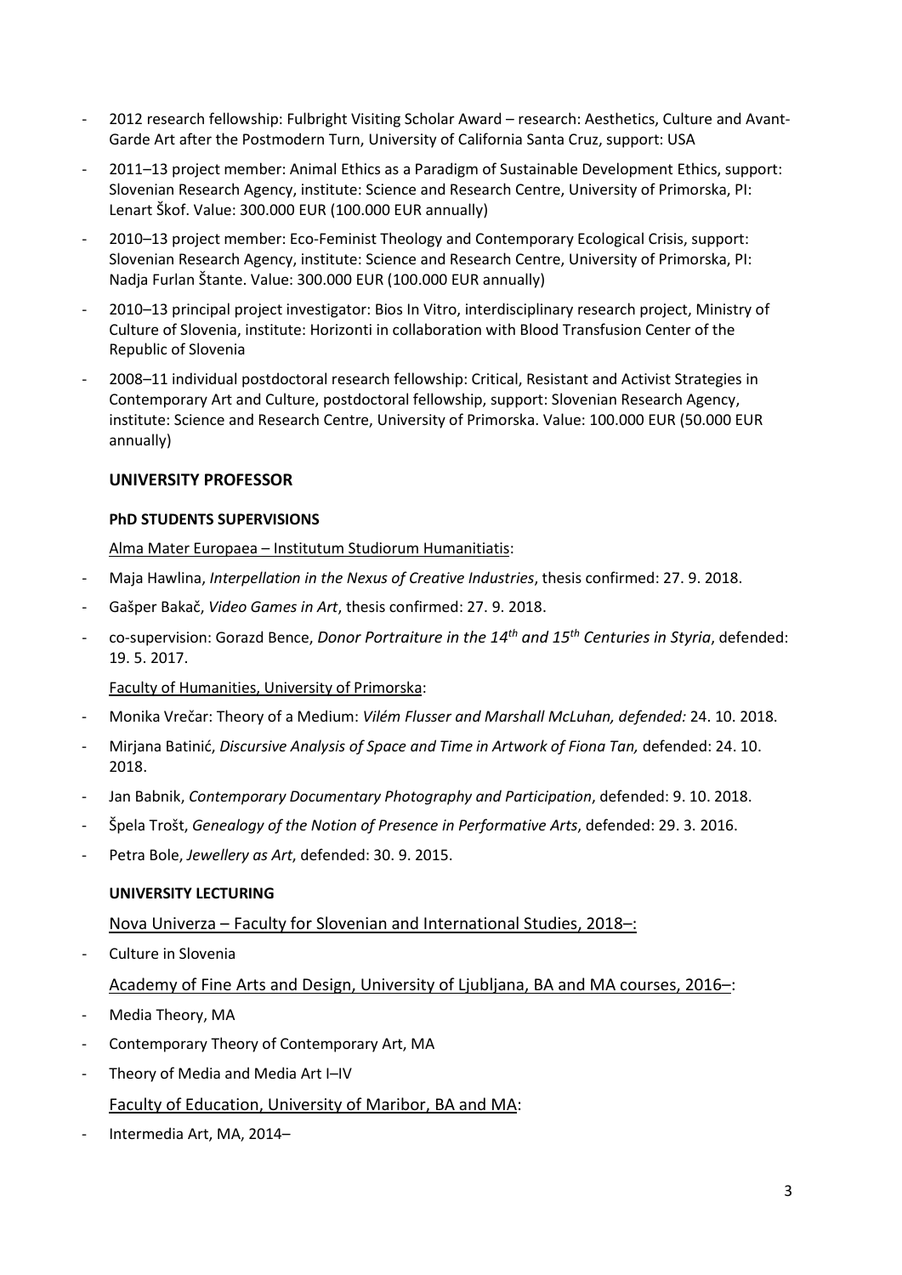- 2012 research fellowship: Fulbright Visiting Scholar Award research: Aesthetics, Culture and Avant-Garde Art after the Postmodern Turn, University of California Santa Cruz, support: USA
- 2011–13 project member: Animal Ethics as a Paradigm of Sustainable Development Ethics, support: Slovenian Research Agency, institute: Science and Research Centre, University of Primorska, PI: Lenart Škof. Value: 300.000 EUR (100.000 EUR annually)
- 2010–13 project member: Eco-Feminist Theology and Contemporary Ecological Crisis, support: Slovenian Research Agency, institute: Science and Research Centre, University of Primorska, PI: Nadja Furlan Štante. Value: 300.000 EUR (100.000 EUR annually)
- 2010–13 principal project investigator: Bios In Vitro, interdisciplinary research project, Ministry of Culture of Slovenia, institute: Horizonti in collaboration with Blood Transfusion Center of the Republic of Slovenia
- 2008–11 individual postdoctoral research fellowship: Critical, Resistant and Activist Strategies in Contemporary Art and Culture, postdoctoral fellowship, support: Slovenian Research Agency, institute: Science and Research Centre, University of Primorska. Value: 100.000 EUR (50.000 EUR annually)

# UNIVERSITY PROFESSOR

### PhD STUDENTS SUPERVISIONS

Alma Mater Europaea – Institutum Studiorum Humanitiatis:

- Maja Hawlina, Interpellation in the Nexus of Creative Industries, thesis confirmed: 27. 9. 2018.
- Gašper Bakač, Video Games in Art, thesis confirmed: 27. 9. 2018.
- co-supervision: Gorazd Bence, Donor Portraiture in the  $14<sup>th</sup>$  and  $15<sup>th</sup>$  Centuries in Styria, defended: 19. 5. 2017.

### Faculty of Humanities, University of Primorska:

- Monika Vrečar: Theory of a Medium: Vilém Flusser and Marshall McLuhan, defended: 24. 10. 2018.
- Mirjana Batinić, Discursive Analysis of Space and Time in Artwork of Fiona Tan, defended: 24.10. 2018.
- Jan Babnik, Contemporary Documentary Photography and Participation, defended: 9. 10. 2018.
- Špela Trošt, Genealogy of the Notion of Presence in Performative Arts, defended: 29. 3. 2016.
- Petra Bole, Jewellery as Art, defended: 30. 9. 2015.

# UNIVERSITY LECTURING

# Nova Univerza – Faculty for Slovenian and International Studies, 2018–:

- Culture in Slovenia

Academy of Fine Arts and Design, University of Ljubljana, BA and MA courses, 2016–:

- Media Theory, MA
- Contemporary Theory of Contemporary Art, MA
- Theory of Media and Media Art I-IV Faculty of Education, University of Maribor, BA and MA:
- Intermedia Art, MA, 2014–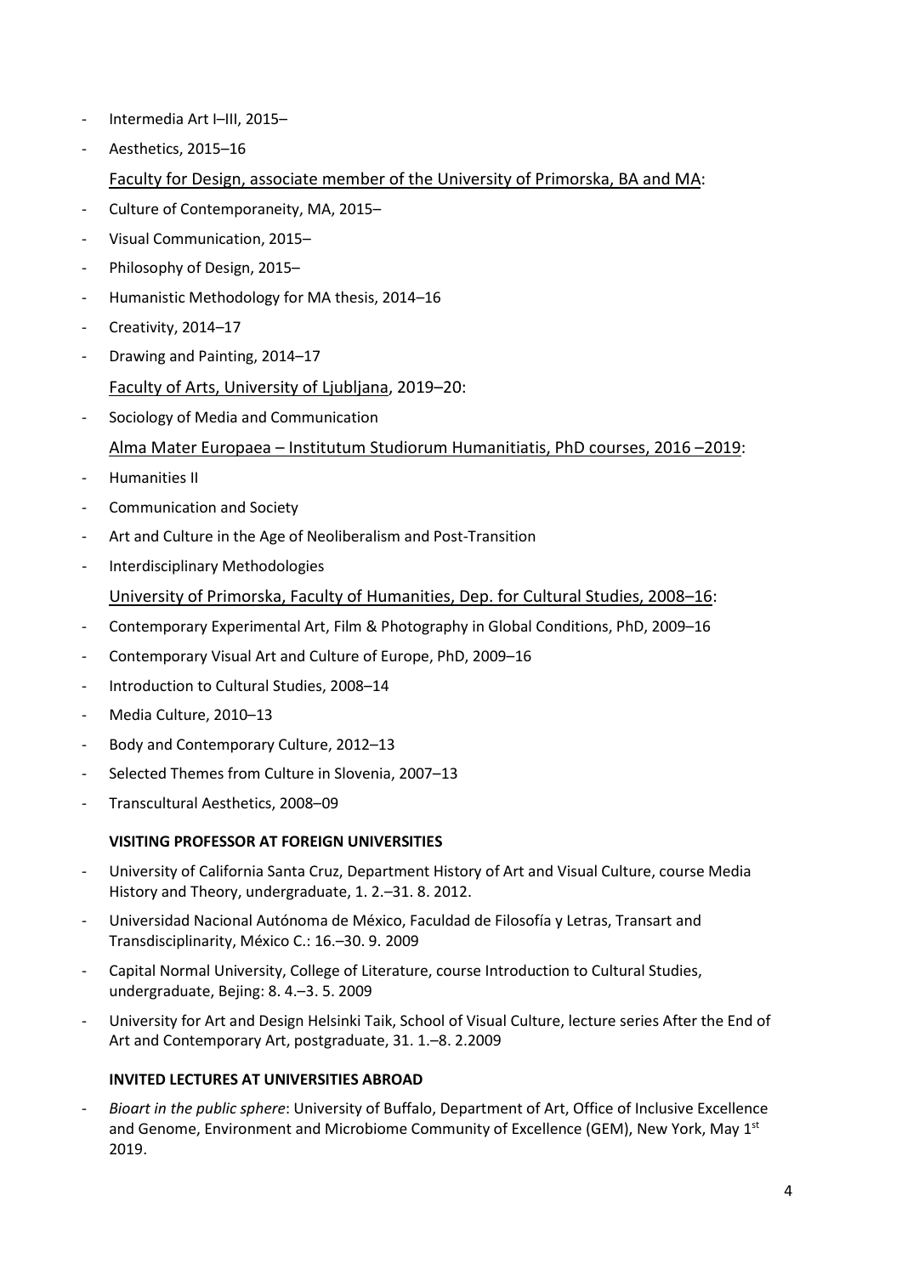- Intermedia Art I–III, 2015–
- Aesthetics, 2015-16
	- Faculty for Design, associate member of the University of Primorska, BA and MA:
- Culture of Contemporaneity, MA, 2015–
- Visual Communication, 2015–
- Philosophy of Design, 2015-
- Humanistic Methodology for MA thesis, 2014–16
- Creativity, 2014-17
- Drawing and Painting, 2014-17
	- Faculty of Arts, University of Ljubljana, 2019–20:
- Sociology of Media and Communication
	- Alma Mater Europaea Institutum Studiorum Humanitiatis, PhD courses, 2016 –2019:
- Humanities II
- Communication and Society
- Art and Culture in the Age of Neoliberalism and Post-Transition
- Interdisciplinary Methodologies
	- University of Primorska, Faculty of Humanities, Dep. for Cultural Studies, 2008–16:
- Contemporary Experimental Art, Film & Photography in Global Conditions, PhD, 2009–16
- Contemporary Visual Art and Culture of Europe, PhD, 2009–16
- Introduction to Cultural Studies, 2008-14
- Media Culture, 2010-13
- Body and Contemporary Culture, 2012–13
- Selected Themes from Culture in Slovenia, 2007-13
- Transcultural Aesthetics, 2008–09

# VISITING PROFESSOR AT FOREIGN UNIVERSITIES

- University of California Santa Cruz, Department History of Art and Visual Culture, course Media History and Theory, undergraduate, 1. 2.–31. 8. 2012.
- Universidad Nacional Autónoma de México, Faculdad de Filosofía y Letras, Transart and Transdisciplinarity, México C.: 16.–30. 9. 2009
- Capital Normal University, College of Literature, course Introduction to Cultural Studies, undergraduate, Bejing: 8. 4.–3. 5. 2009
- University for Art and Design Helsinki Taik, School of Visual Culture, lecture series After the End of Art and Contemporary Art, postgraduate, 31. 1.–8. 2.2009

### INVITED LECTURES AT UNIVERSITIES ABROAD

Bioart in the public sphere: University of Buffalo, Department of Art, Office of Inclusive Excellence and Genome, Environment and Microbiome Community of Excellence (GEM), New York, May 1st 2019.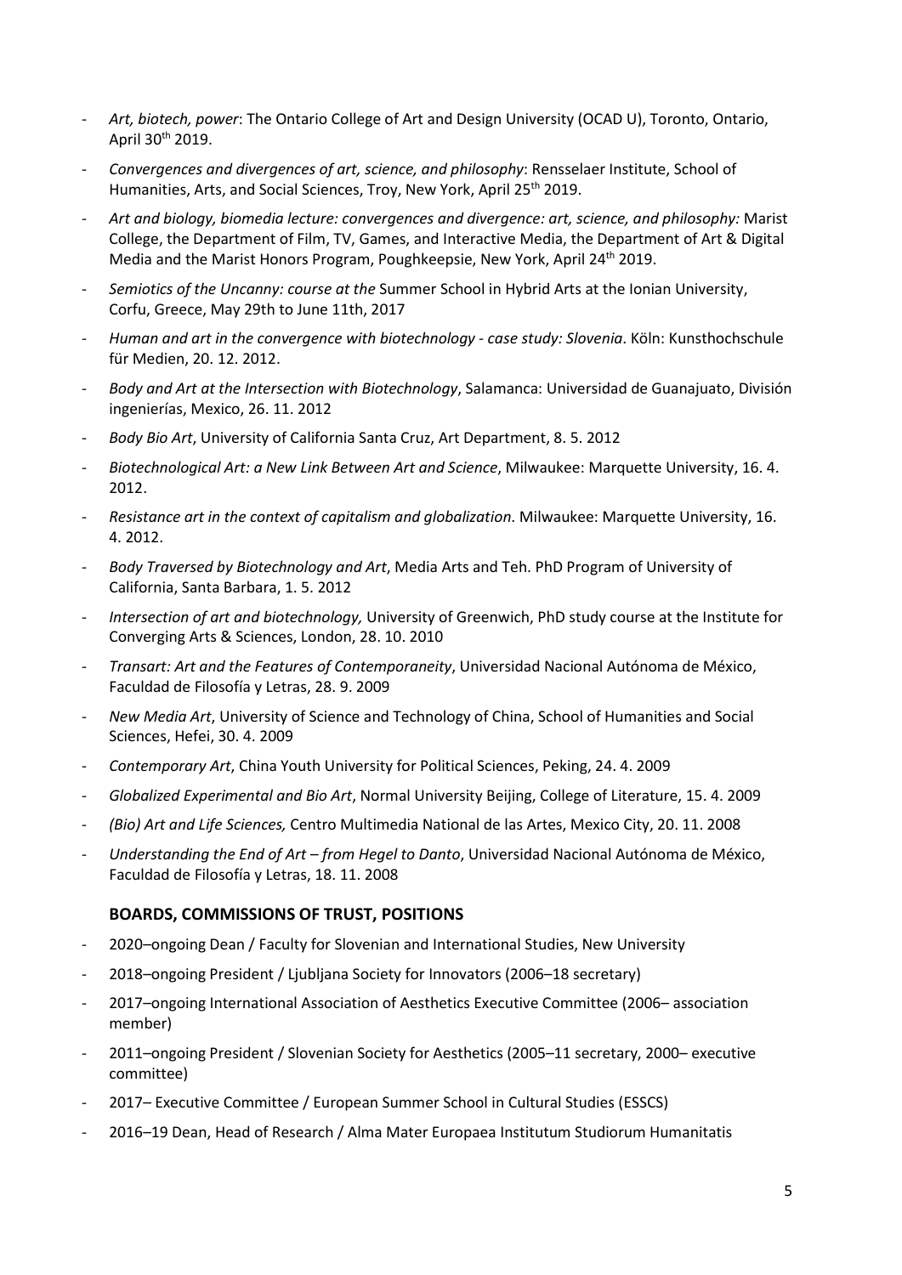- Art, biotech, power: The Ontario College of Art and Design University (OCAD U), Toronto, Ontario, April 30th 2019.
- Convergences and divergences of art, science, and philosophy: Rensselaer Institute, School of Humanities, Arts, and Social Sciences, Troy, New York, April 25<sup>th</sup> 2019.
- Art and biology, biomedia lecture: convergences and divergence: art, science, and philosophy: Marist College, the Department of Film, TV, Games, and Interactive Media, the Department of Art & Digital Media and the Marist Honors Program, Poughkeepsie, New York, April 24th 2019.
- Semiotics of the Uncanny: course at the Summer School in Hybrid Arts at the Ionian University, Corfu, Greece, May 29th to June 11th, 2017
- Human and art in the convergence with biotechnology case study: Slovenia. Köln: Kunsthochschule für Medien, 20. 12. 2012.
- Body and Art at the Intersection with Biotechnology, Salamanca: Universidad de Guanajuato, División ingenierías, Mexico, 26. 11. 2012
- Body Bio Art, University of California Santa Cruz, Art Department, 8. 5. 2012
- Biotechnological Art: a New Link Between Art and Science, Milwaukee: Marquette University, 16.4. 2012.
- Resistance art in the context of capitalism and globalization. Milwaukee: Marquette University, 16. 4. 2012.
- Body Traversed by Biotechnology and Art, Media Arts and Teh. PhD Program of University of California, Santa Barbara, 1. 5. 2012
- Intersection of art and biotechnology, University of Greenwich, PhD study course at the Institute for Converging Arts & Sciences, London, 28. 10. 2010
- Transart: Art and the Features of Contemporaneity, Universidad Nacional Autónoma de México, Faculdad de Filosofía y Letras, 28. 9. 2009
- New Media Art, University of Science and Technology of China, School of Humanities and Social Sciences, Hefei, 30. 4. 2009
- Contemporary Art, China Youth University for Political Sciences, Peking, 24. 4. 2009
- Globalized Experimental and Bio Art, Normal University Beijing, College of Literature, 15. 4. 2009
- (Bio) Art and Life Sciences, Centro Multimedia National de las Artes, Mexico City, 20. 11. 2008
- Understanding the End of Art from Hegel to Danto, Universidad Nacional Autónoma de México, Faculdad de Filosofía y Letras, 18. 11. 2008

### BOARDS, COMMISSIONS OF TRUST, POSITIONS

- 2020–ongoing Dean / Faculty for Slovenian and International Studies, New University
- 2018–ongoing President / Ljubljana Society for Innovators (2006–18 secretary)
- 2017–ongoing International Association of Aesthetics Executive Committee (2006– association member)
- 2011–ongoing President / Slovenian Society for Aesthetics (2005–11 secretary, 2000– executive committee)
- 2017– Executive Committee / European Summer School in Cultural Studies (ESSCS)
- 2016–19 Dean, Head of Research / Alma Mater Europaea Institutum Studiorum Humanitatis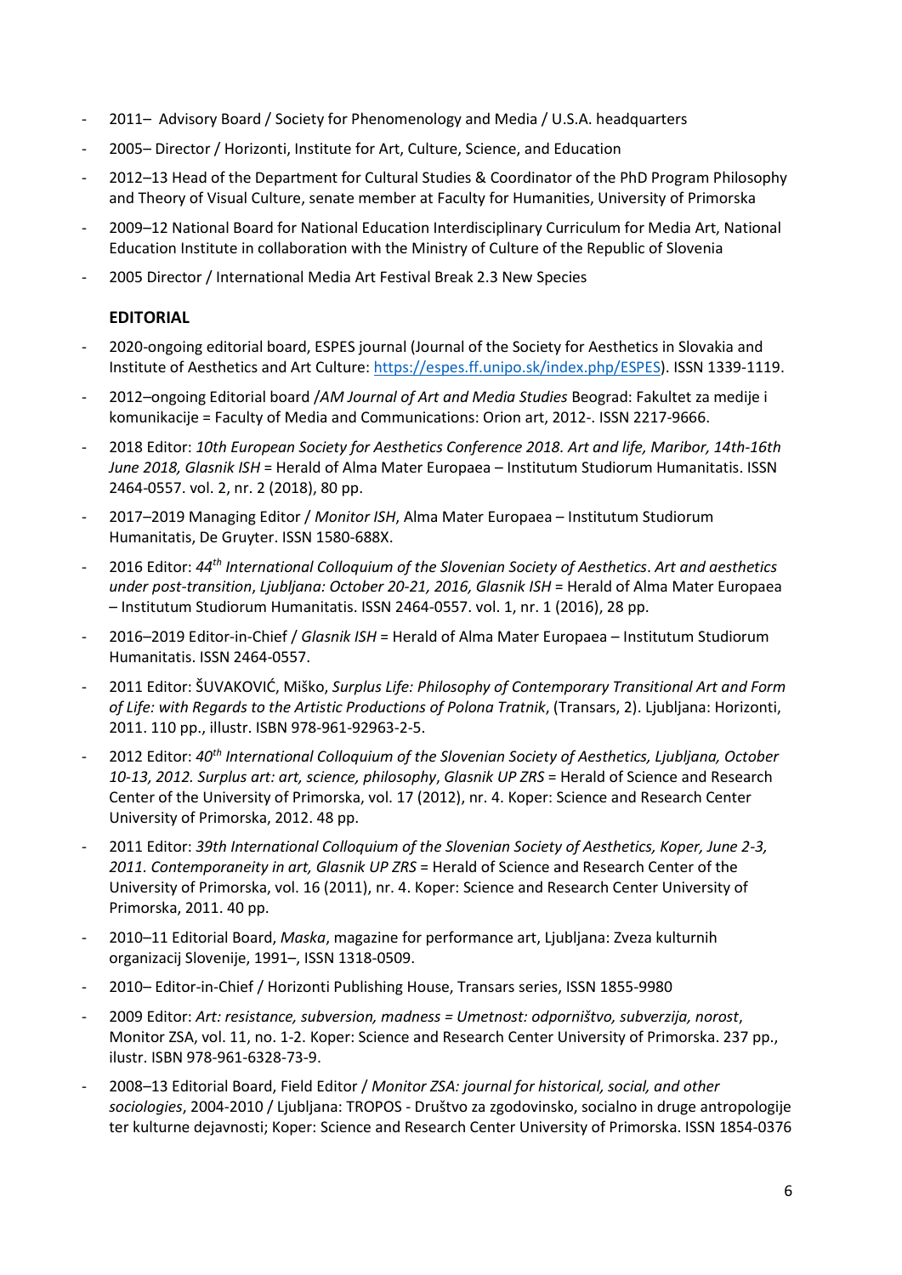- 2011– Advisory Board / Society for Phenomenology and Media / U.S.A. headquarters
- 2005– Director / Horizonti, Institute for Art, Culture, Science, and Education
- 2012–13 Head of the Department for Cultural Studies & Coordinator of the PhD Program Philosophy and Theory of Visual Culture, senate member at Faculty for Humanities, University of Primorska
- 2009–12 National Board for National Education Interdisciplinary Curriculum for Media Art, National Education Institute in collaboration with the Ministry of Culture of the Republic of Slovenia
- 2005 Director / International Media Art Festival Break 2.3 New Species

# EDITORIAL

- 2020-ongoing editorial board, ESPES journal (Journal of the Society for Aesthetics in Slovakia and Institute of Aesthetics and Art Culture: https://espes.ff.unipo.sk/index.php/ESPES). ISSN 1339-1119.
- 2012-ongoing Editorial board /AM Journal of Art and Media Studies Beograd: Fakultet za medije i komunikacije = Faculty of Media and Communications: Orion art, 2012-. ISSN 2217-9666.
- 2018 Editor: 10th European Society for Aesthetics Conference 2018. Art and life, Maribor, 14th-16th June 2018, Glasnik ISH = Herald of Alma Mater Europaea – Institutum Studiorum Humanitatis. ISSN 2464-0557. vol. 2, nr. 2 (2018), 80 pp.
- 2017–2019 Managing Editor / Monitor ISH, Alma Mater Europaea Institutum Studiorum Humanitatis, De Gruyter. ISSN 1580-688X.
- 2016 Editor: 44<sup>th</sup> International Colloquium of the Slovenian Society of Aesthetics. Art and aesthetics under post-transition, Ljubljana: October 20-21, 2016, Glasnik ISH = Herald of Alma Mater Europaea – Institutum Studiorum Humanitatis. ISSN 2464-0557. vol. 1, nr. 1 (2016), 28 pp.
- 2016–2019 Editor-in-Chief / Glasnik ISH = Herald of Alma Mater Europaea Institutum Studiorum Humanitatis. ISSN 2464-0557.
- 2011 Editor: ŠUVAKOVIĆ, Miško, Surplus Life: Philosophy of Contemporary Transitional Art and Form of Life: with Regards to the Artistic Productions of Polona Tratnik, (Transars, 2). Ljubljana: Horizonti, 2011. 110 pp., illustr. ISBN 978-961-92963-2-5.
- 2012 Editor: 40<sup>th</sup> International Colloquium of the Slovenian Society of Aesthetics, Liubliana, October 10-13, 2012. Surplus art: art, science, philosophy, Glasnik UP ZRS = Herald of Science and Research Center of the University of Primorska, vol. 17 (2012), nr. 4. Koper: Science and Research Center University of Primorska, 2012. 48 pp.
- 2011 Editor: 39th International Colloquium of the Slovenian Society of Aesthetics, Koper, June 2-3, 2011. Contemporaneity in art, Glasnik UP ZRS = Herald of Science and Research Center of the University of Primorska, vol. 16 (2011), nr. 4. Koper: Science and Research Center University of Primorska, 2011. 40 pp.
- 2010–11 Editorial Board, Maska, magazine for performance art, Ljubljana: Zveza kulturnih organizacij Slovenije, 1991–, ISSN 1318-0509.
- 2010– Editor-in-Chief / Horizonti Publishing House, Transars series, ISSN 1855-9980
- 2009 Editor: Art: resistance, subversion, madness = Umetnost: odporništvo, subverzija, norost, Monitor ZSA, vol. 11, no. 1-2. Koper: Science and Research Center University of Primorska. 237 pp., ilustr. ISBN 978-961-6328-73-9.
- 2008–13 Editorial Board, Field Editor / Monitor ZSA: journal for historical, social, and other sociologies, 2004-2010 / Ljubljana: TROPOS - Društvo za zgodovinsko, socialno in druge antropologije ter kulturne dejavnosti; Koper: Science and Research Center University of Primorska. ISSN 1854-0376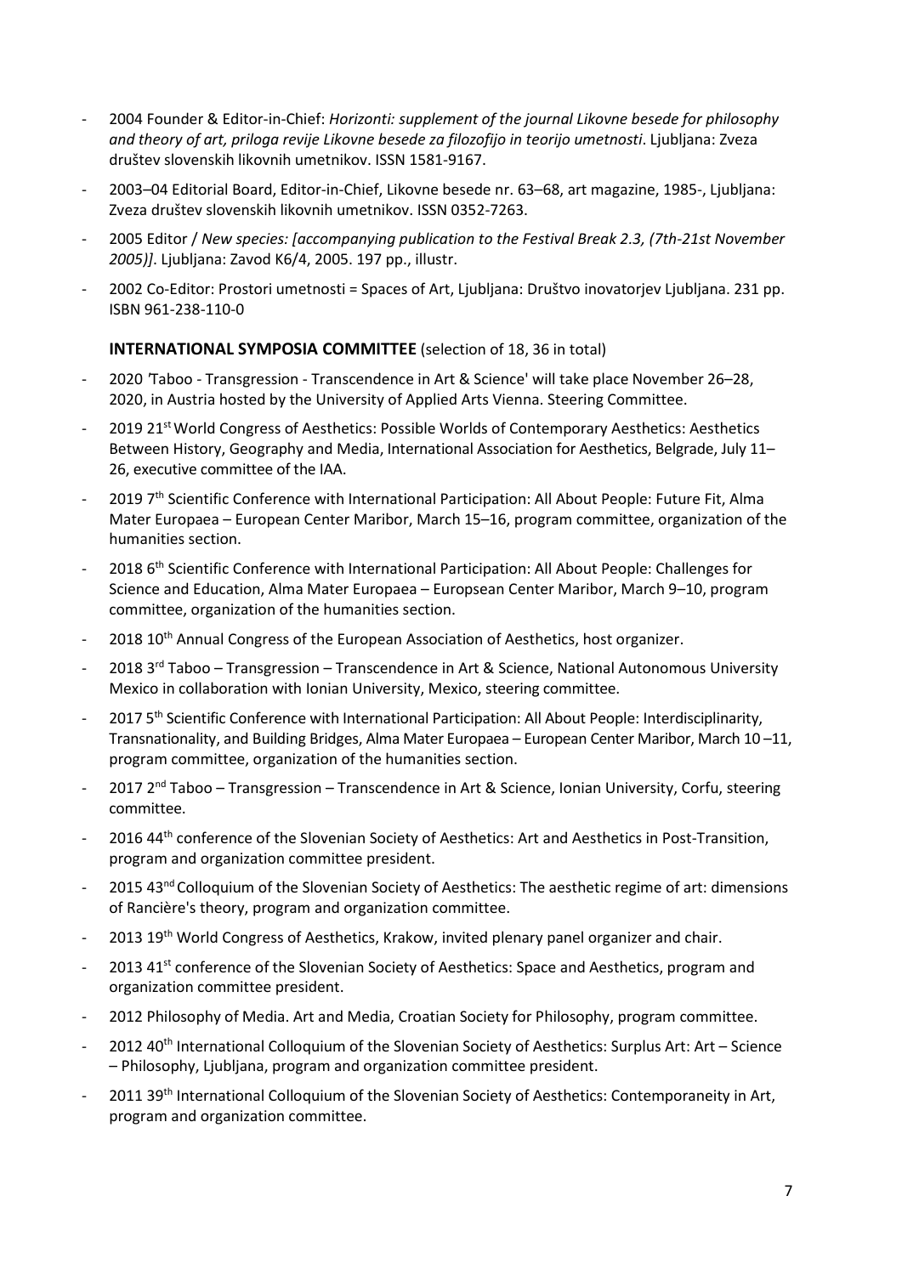- 2004 Founder & Editor-in-Chief: Horizonti: supplement of the journal Likovne besede for philosophy and theory of art, priloga revije Likovne besede za filozofijo in teorijo umetnosti. Ljubljana: Zveza društev slovenskih likovnih umetnikov. ISSN 1581-9167.
- 2003–04 Editorial Board, Editor-in-Chief, Likovne besede nr. 63–68, art magazine, 1985-, Ljubljana: Zveza društev slovenskih likovnih umetnikov. ISSN 0352-7263.
- 2005 Editor / New species: [accompanying publication to the Festival Break 2.3, (7th-21st November 2005)]. Ljubljana: Zavod K6/4, 2005. 197 pp., illustr.
- 2002 Co-Editor: Prostori umetnosti = Spaces of Art, Ljubljana: Društvo inovatorjev Ljubljana. 231 pp. ISBN 961-238-110-0

### INTERNATIONAL SYMPOSIA COMMITTEE (selection of 18, 36 in total)

- 2020 'Taboo Transgression Transcendence in Art & Science' will take place November 26–28, 2020, in Austria hosted by the University of Applied Arts Vienna. Steering Committee.
- 2019 21<sup>st</sup> World Congress of Aesthetics: Possible Worlds of Contemporary Aesthetics: Aesthetics Between History, Geography and Media, International Association for Aesthetics, Belgrade, July 11-26, executive committee of the IAA.
- 2019 7<sup>th</sup> Scientific Conference with International Participation: All About People: Future Fit, Alma Mater Europaea – European Center Maribor, March 15–16, program committee, organization of the humanities section.
- 2018 6<sup>th</sup> Scientific Conference with International Participation: All About People: Challenges for Science and Education, Alma Mater Europaea – Europsean Center Maribor, March 9–10, program committee, organization of the humanities section.
- 2018 10<sup>th</sup> Annual Congress of the European Association of Aesthetics, host organizer.
- 2018 3<sup>rd</sup> Taboo Transgression Transcendence in Art & Science, National Autonomous University Mexico in collaboration with Ionian University, Mexico, steering committee.
- 2017 5<sup>th</sup> Scientific Conference with International Participation: All About People: Interdisciplinarity, Transnationality, and Building Bridges, Alma Mater Europaea – European Center Maribor, March 10 –11, program committee, organization of the humanities section.
- 2017 2<sup>nd</sup> Taboo Transgression Transcendence in Art & Science, Ionian University, Corfu, steering committee.
- 2016 44<sup>th</sup> conference of the Slovenian Society of Aesthetics: Art and Aesthetics in Post-Transition, program and organization committee president.
- 2015 43<sup>nd</sup> Colloquium of the Slovenian Society of Aesthetics: The aesthetic regime of art: dimensions of Rancière's theory, program and organization committee.
- 2013 19<sup>th</sup> World Congress of Aesthetics, Krakow, invited plenary panel organizer and chair.
- 2013 41<sup>st</sup> conference of the Slovenian Society of Aesthetics: Space and Aesthetics, program and organization committee president.
- 2012 Philosophy of Media. Art and Media, Croatian Society for Philosophy, program committee.
- 2012 40<sup>th</sup> International Colloquium of the Slovenian Society of Aesthetics: Surplus Art: Art Science – Philosophy, Ljubljana, program and organization committee president.
- 2011 39<sup>th</sup> International Colloquium of the Slovenian Society of Aesthetics: Contemporaneity in Art, program and organization committee.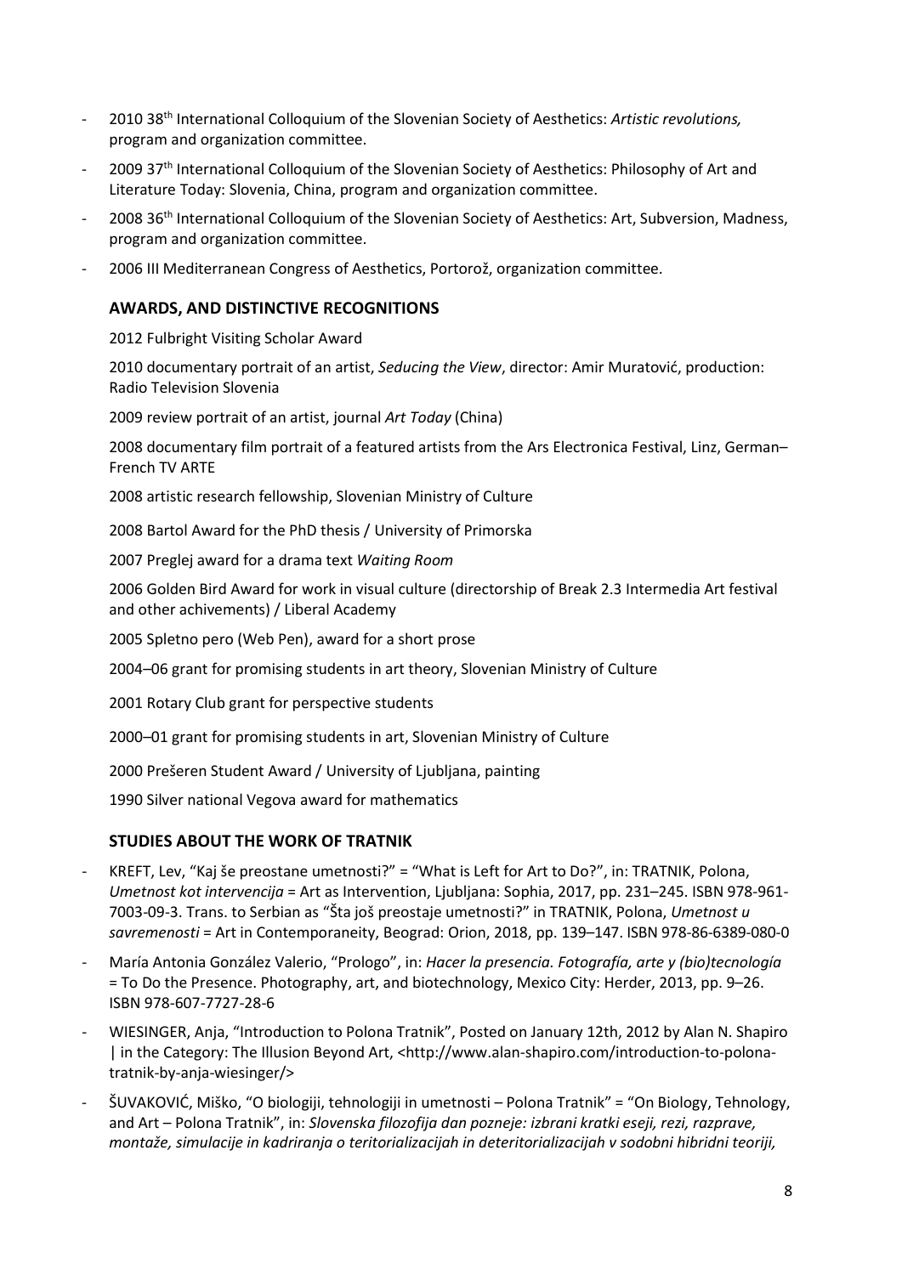- 2010 38<sup>th</sup> International Colloquium of the Slovenian Society of Aesthetics: Artistic revolutions, program and organization committee.
- 2009 37<sup>th</sup> International Colloquium of the Slovenian Society of Aesthetics: Philosophy of Art and Literature Today: Slovenia, China, program and organization committee.
- 2008 36<sup>th</sup> International Colloquium of the Slovenian Society of Aesthetics: Art, Subversion, Madness, program and organization committee.
- 2006 III Mediterranean Congress of Aesthetics, Portorož, organization committee.

# AWARDS, AND DISTINCTIVE RECOGNITIONS

2012 Fulbright Visiting Scholar Award

2010 documentary portrait of an artist, Seducing the View, director: Amir Muratović, production: Radio Television Slovenia

2009 review portrait of an artist, journal Art Today (China)

2008 documentary film portrait of a featured artists from the Ars Electronica Festival, Linz, German– French TV ARTE

2008 artistic research fellowship, Slovenian Ministry of Culture

2008 Bartol Award for the PhD thesis / University of Primorska

2007 Preglej award for a drama text Waiting Room

2006 Golden Bird Award for work in visual culture (directorship of Break 2.3 Intermedia Art festival and other achivements) / Liberal Academy

2005 Spletno pero (Web Pen), award for a short prose

2004–06 grant for promising students in art theory, Slovenian Ministry of Culture

2001 Rotary Club grant for perspective students

2000–01 grant for promising students in art, Slovenian Ministry of Culture

2000 Prešeren Student Award / University of Ljubljana, painting

1990 Silver national Vegova award for mathematics

# STUDIES ABOUT THE WORK OF TRATNIK

- KREFT, Lev, "Kaj še preostane umetnosti?" = "What is Left for Art to Do?", in: TRATNIK, Polona, Umetnost kot intervencija = Art as Intervention, Ljubljana: Sophia, 2017, pp. 231–245. ISBN 978-961- 7003-09-3. Trans. to Serbian as "Šta još preostaje umetnosti?" in TRATNIK, Polona, Umetnost u savremenosti = Art in Contemporaneity, Beograd: Orion, 2018, pp. 139–147. ISBN 978-86-6389-080-0
- María Antonia González Valerio, "Prologo", in: Hacer la presencia. Fotografía, arte y (bio)tecnología = To Do the Presence. Photography, art, and biotechnology, Mexico City: Herder, 2013, pp. 9–26. ISBN 978-607-7727-28-6
- WIESINGER, Anja, "Introduction to Polona Tratnik", Posted on January 12th, 2012 by Alan N. Shapiro | in the Category: The Illusion Beyond Art, <http://www.alan-shapiro.com/introduction-to-polonatratnik-by-anja-wiesinger/>
- ŠUVAKOVIĆ, Miško, "O biologiji, tehnologiji in umetnosti Polona Tratnik" = "On Biology, Tehnology, and Art – Polona Tratnik", in: Slovenska filozofija dan pozneje: izbrani kratki eseji, rezi, razprave, montaže, simulacije in kadriranja o teritorializacijah in deteritorializacijah v sodobni hibridni teoriji,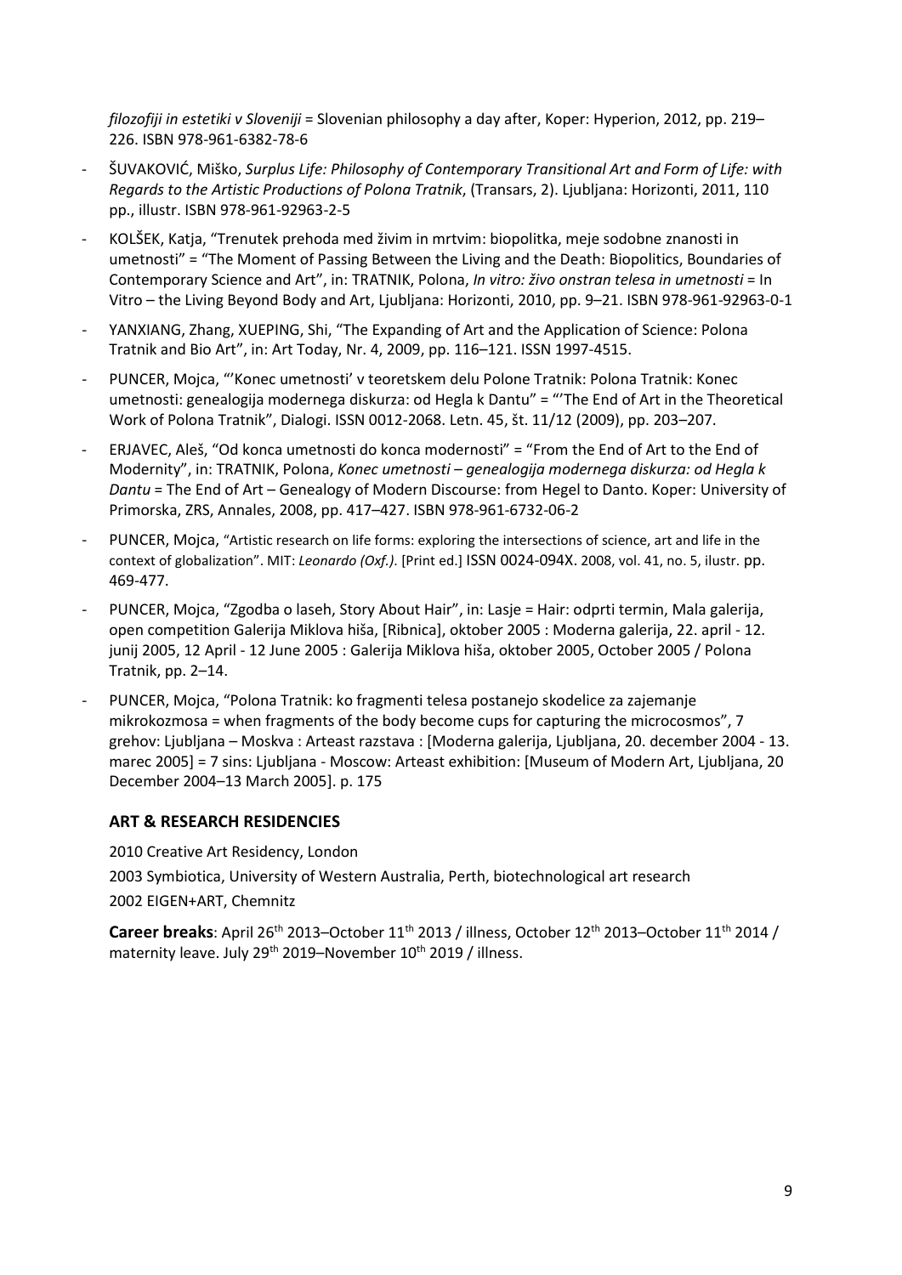filozofiji in estetiki v Sloveniji = Slovenian philosophy a day after, Koper: Hyperion, 2012, pp. 219– 226. ISBN 978-961-6382-78-6

- ŠUVAKOVIĆ, Miško, Surplus Life: Philosophy of Contemporary Transitional Art and Form of Life: with Regards to the Artistic Productions of Polona Tratnik, (Transars, 2). Ljubljana: Horizonti, 2011, 110 pp., illustr. ISBN 978-961-92963-2-5
- KOLŠEK, Katja, "Trenutek prehoda med živim in mrtvim: biopolitka, meje sodobne znanosti in umetnosti" = "The Moment of Passing Between the Living and the Death: Biopolitics, Boundaries of Contemporary Science and Art", in: TRATNIK, Polona, In vitro: živo onstran telesa in umetnosti = In Vitro – the Living Beyond Body and Art, Ljubljana: Horizonti, 2010, pp. 9–21. ISBN 978-961-92963-0-1
- YANXIANG, Zhang, XUEPING, Shi, "The Expanding of Art and the Application of Science: Polona Tratnik and Bio Art", in: Art Today, Nr. 4, 2009, pp. 116–121. ISSN 1997-4515.
- PUNCER, Mojca, "'Konec umetnosti' v teoretskem delu Polone Tratnik: Polona Tratnik: Konec umetnosti: genealogija modernega diskurza: od Hegla k Dantu" = "'The End of Art in the Theoretical Work of Polona Tratnik", Dialogi. ISSN 0012-2068. Letn. 45, št. 11/12 (2009), pp. 203–207.
- ERJAVEC, Aleš, "Od konca umetnosti do konca modernosti" = "From the End of Art to the End of Modernity", in: TRATNIK, Polona, Konec umetnosti – genealogija modernega diskurza: od Hegla k Dantu = The End of Art – Genealogy of Modern Discourse: from Hegel to Danto. Koper: University of Primorska, ZRS, Annales, 2008, pp. 417–427. ISBN 978-961-6732-06-2
- PUNCER, Mojca, "Artistic research on life forms: exploring the intersections of science, art and life in the context of globalization". MIT: Leonardo (Oxf.). [Print ed.] ISSN 0024-094X. 2008, vol. 41, no. 5, ilustr. pp. 469-477.
- PUNCER, Mojca, "Zgodba o laseh, Story About Hair", in: Lasje = Hair: odprti termin, Mala galerija, open competition Galerija Miklova hiša, [Ribnica], oktober 2005 : Moderna galerija, 22. april - 12. junij 2005, 12 April - 12 June 2005 : Galerija Miklova hiša, oktober 2005, October 2005 / Polona Tratnik, pp. 2–14.
- PUNCER, Mojca, "Polona Tratnik: ko fragmenti telesa postanejo skodelice za zajemanje mikrokozmosa = when fragments of the body become cups for capturing the microcosmos", 7 grehov: Ljubljana – Moskva : Arteast razstava : [Moderna galerija, Ljubljana, 20. december 2004 - 13. marec 2005] = 7 sins: Ljubljana - Moscow: Arteast exhibition: [Museum of Modern Art, Ljubljana, 20 December 2004–13 March 2005]. p. 175

# ART & RESEARCH RESIDENCIES

2010 Creative Art Residency, London 2003 Symbiotica, University of Western Australia, Perth, biotechnological art research 2002 EIGEN+ART, Chemnitz

Career breaks: April 26<sup>th</sup> 2013–October 11<sup>th</sup> 2013 / illness, October 12<sup>th</sup> 2013–October 11<sup>th</sup> 2014 / maternity leave. July 29<sup>th</sup> 2019–November 10<sup>th</sup> 2019 / illness.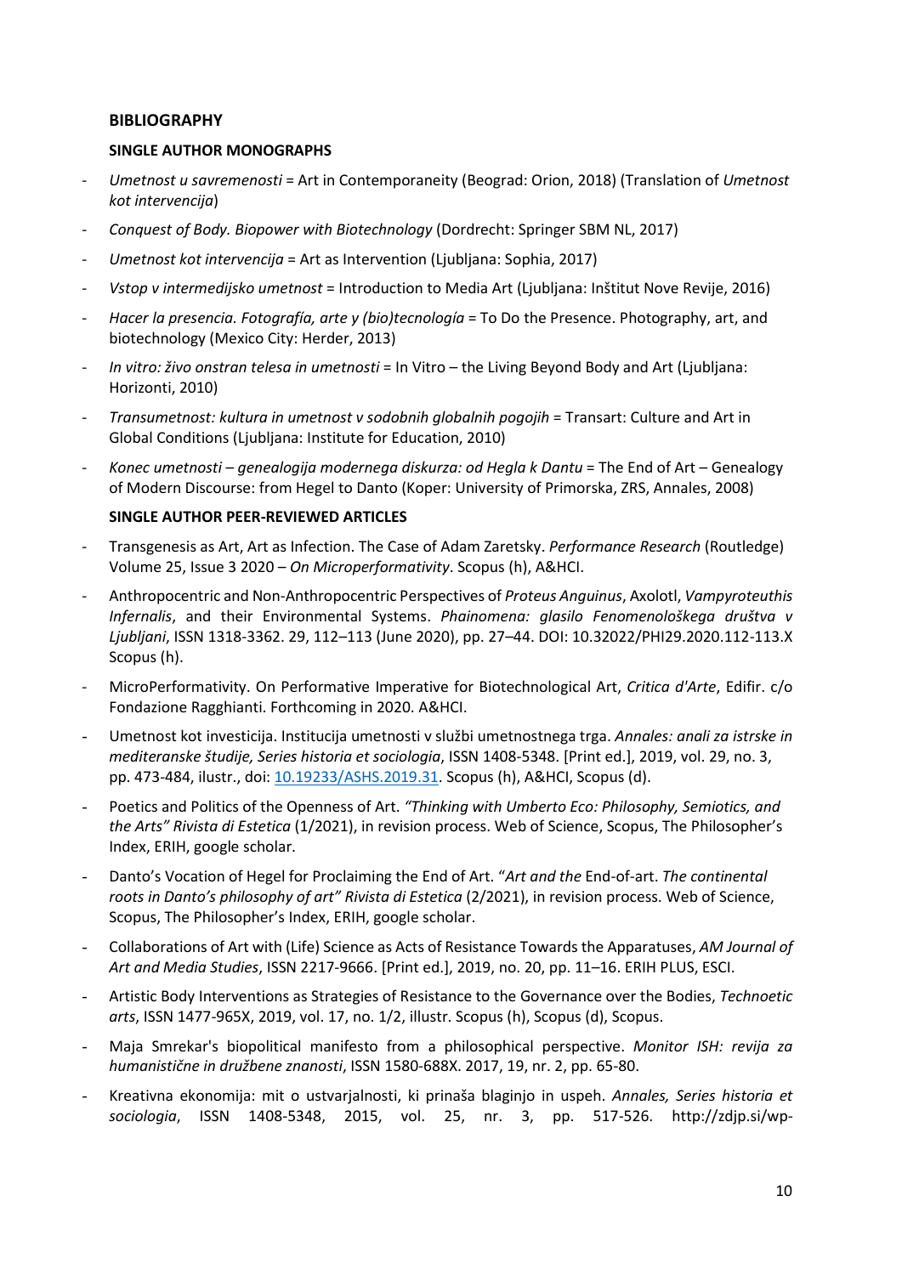### BIBLIOGRAPHY

### SINGLE AUTHOR MONOGRAPHS

- Umetnost u savremenosti = Art in Contemporaneity (Beograd: Orion, 2018) (Translation of Umetnost kot intervencija)
- Conquest of Body. Biopower with Biotechnology (Dordrecht: Springer SBM NL, 2017)
- Umetnost kot intervencija = Art as Intervention (Ljubliana: Sophia, 2017)
- Vstop v intermedijsko umetnost = Introduction to Media Art (Ljubljana: Inštitut Nove Revije, 2016)
- Hacer la presencia. Fotografía, arte y (bio)tecnología = To Do the Presence. Photography, art, and biotechnology (Mexico City: Herder, 2013)
- In vitro: živo onstran telesa in umetnosti = In Vitro the Living Beyond Body and Art (Ljubljana: Horizonti, 2010)
- Transumetnost: kultura in umetnost v sodobnih globalnih pogojih = Transart: Culture and Art in Global Conditions (Ljubljana: Institute for Education, 2010)
- Konec umetnosti genealogija modernega diskurza: od Hegla k Dantu = The End of Art Genealogy of Modern Discourse: from Hegel to Danto (Koper: University of Primorska, ZRS, Annales, 2008)

### SINGLE AUTHOR PEER-REVIEWED ARTICLES

- Transgenesis as Art, Art as Infection. The Case of Adam Zaretsky. Performance Research (Routledge) Volume 25, Issue 3 2020 – On Microperformativity. Scopus (h), A&HCI.
- Anthropocentric and Non-Anthropocentric Perspectives of Proteus Anguinus, Axolotl, Vampyroteuthis Infernalis, and their Environmental Systems. Phainomena: glasilo Fenomenološkega društva v Ljubljani, ISSN 1318-3362. 29, 112–113 (June 2020), pp. 27–44. DOI: 10.32022/PHI29.2020.112-113.X Scopus (h).
- MicroPerformativity. On Performative Imperative for Biotechnological Art, Critica d'Arte, Edifir. c/o Fondazione Ragghianti. Forthcoming in 2020. A&HCI.
- Umetnost kot investicija. Institucija umetnosti v službi umetnostnega trga. Annales: anali za istrske in mediteranske študije, Series historia et sociologia, ISSN 1408-5348. [Print ed.], 2019, vol. 29, no. 3, pp. 473-484, ilustr., doi: 10.19233/ASHS.2019.31. Scopus (h), A&HCI, Scopus (d).
- Poetics and Politics of the Openness of Art. "Thinking with Umberto Eco: Philosophy, Semiotics, and the Arts" Rivista di Estetica (1/2021), in revision process. Web of Science, Scopus, The Philosopher's Index, ERIH, google scholar.
- Danto's Vocation of Hegel for Proclaiming the End of Art. "Art and the End-of-art. The continental roots in Danto's philosophy of art" Rivista di Estetica (2/2021), in revision process. Web of Science, Scopus, The Philosopher's Index, ERIH, google scholar.
- Collaborations of Art with (Life) Science as Acts of Resistance Towards the Apparatuses, AM Journal of Art and Media Studies, ISSN 2217-9666. [Print ed.], 2019, no. 20, pp. 11–16. ERIH PLUS, ESCI.
- Artistic Body Interventions as Strategies of Resistance to the Governance over the Bodies, Technoetic arts, ISSN 1477-965X, 2019, vol. 17, no. 1/2, illustr. Scopus (h), Scopus (d), Scopus.
- Maja Smrekar's biopolitical manifesto from a philosophical perspective. Monitor ISH: revija za humanistične in družbene znanosti, ISSN 1580-688X. 2017, 19, nr. 2, pp. 65-80.
- Kreativna ekonomija: mit o ustvarialnosti, ki prinaša blaginjo in uspeh. Annales, Series historia et sociologia, ISSN 1408-5348, 2015, vol. 25, nr. 3, pp. 517-526. http://zdjp.si/wp-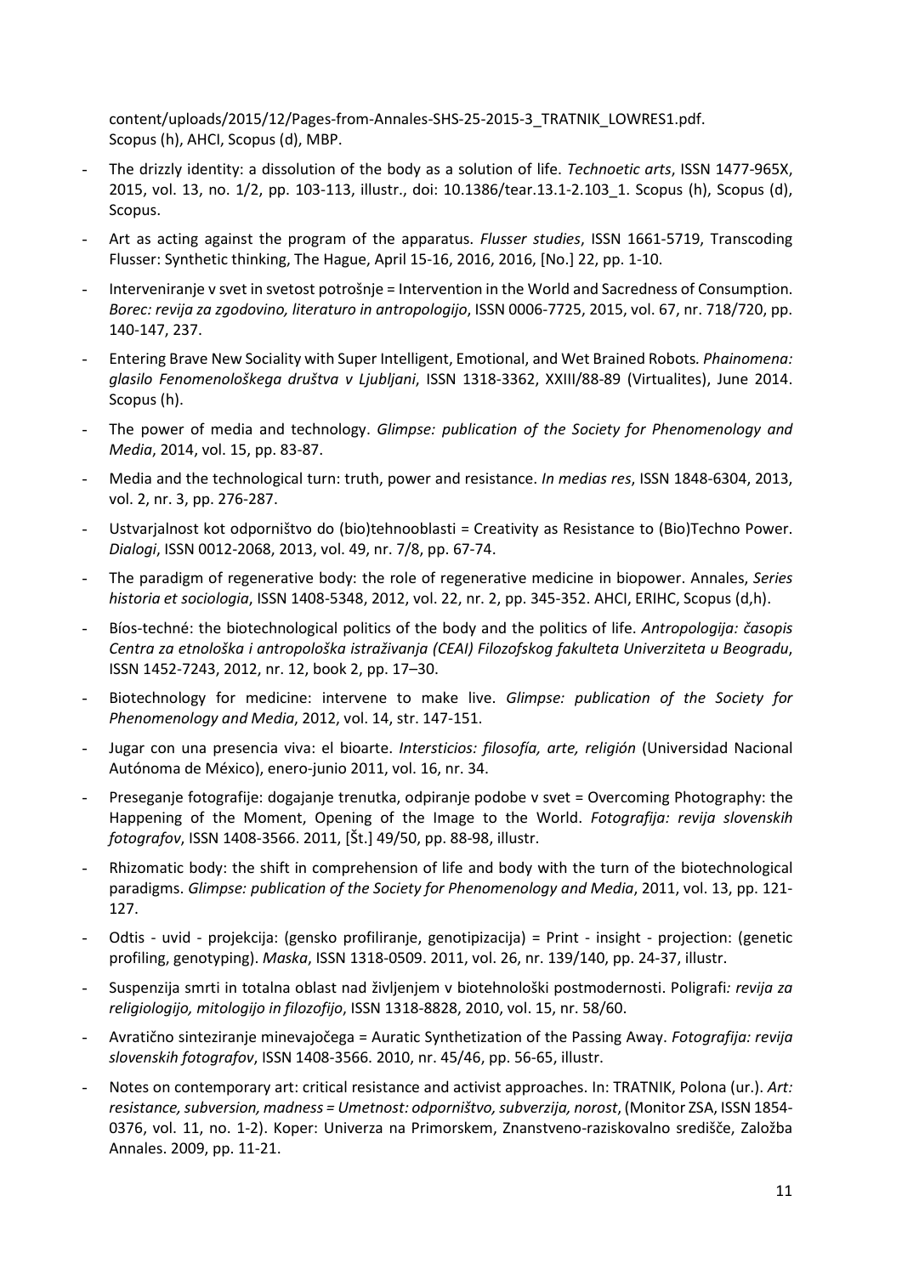content/uploads/2015/12/Pages-from-Annales-SHS-25-2015-3\_TRATNIK\_LOWRES1.pdf. Scopus (h), AHCI, Scopus (d), MBP.

- The drizzly identity: a dissolution of the body as a solution of life. Technoetic arts, ISSN 1477-965X, 2015, vol. 13, no. 1/2, pp. 103-113, illustr., doi: 10.1386/tear.13.1-2.103\_1. Scopus (h), Scopus (d), Scopus.
- Art as acting against the program of the apparatus. Flusser studies, ISSN 1661-5719, Transcoding Flusser: Synthetic thinking, The Hague, April 15-16, 2016, 2016, [No.] 22, pp. 1-10.
- Interveniranje v svet in svetost potrošnje = Intervention in the World and Sacredness of Consumption. Borec: revija za zgodovino, literaturo in antropologijo, ISSN 0006-7725, 2015, vol. 67, nr. 718/720, pp. 140-147, 237.
- Entering Brave New Sociality with Super Intelligent, Emotional, and Wet Brained Robots. *Phainomena:* glasilo Fenomenološkega društva v Ljubljani, ISSN 1318-3362, XXIII/88-89 (Virtualites), June 2014. Scopus (h).
- The power of media and technology. Glimpse: publication of the Society for Phenomenology and Media, 2014, vol. 15, pp. 83-87.
- Media and the technological turn: truth, power and resistance. In medias res, ISSN 1848-6304, 2013, vol. 2, nr. 3, pp. 276-287.
- Ustvarjalnost kot odporništvo do (bio)tehnooblasti = Creativity as Resistance to (Bio)Techno Power. Dialogi, ISSN 0012-2068, 2013, vol. 49, nr. 7/8, pp. 67-74.
- The paradigm of regenerative body: the role of regenerative medicine in biopower. Annales, Series historia et sociologia, ISSN 1408-5348, 2012, vol. 22, nr. 2, pp. 345-352. AHCI, ERIHC, Scopus (d,h).
- Bíos-techné: the biotechnological politics of the body and the politics of life. Antropologija: časopis Centra za etnološka i antropološka istraživanja (CEAI) Filozofskog fakulteta Univerziteta u Beogradu, ISSN 1452-7243, 2012, nr. 12, book 2, pp. 17–30.
- Biotechnology for medicine: intervene to make live. Glimpse: publication of the Society for Phenomenology and Media, 2012, vol. 14, str. 147-151.
- Jugar con una presencia viva: el bioarte. Intersticios: filosofía, arte, religión (Universidad Nacional Autónoma de México), enero-junio 2011, vol. 16, nr. 34.
- Preseganje fotografije: dogajanje trenutka, odpiranje podobe v svet = Overcoming Photography: the Happening of the Moment, Opening of the Image to the World. Fotografija: revija slovenskih fotografov, ISSN 1408-3566. 2011, [Št.] 49/50, pp. 88-98, illustr.
- Rhizomatic body: the shift in comprehension of life and body with the turn of the biotechnological paradigms. Glimpse: publication of the Society for Phenomenology and Media, 2011, vol. 13, pp. 121- 127.
- Odtis uvid projekcija: (gensko profiliranje, genotipizacija) = Print insight projection: (genetic profiling, genotyping). Maska, ISSN 1318-0509. 2011, vol. 26, nr. 139/140, pp. 24-37, illustr.
- Suspenzija smrti in totalna oblast nad življenjem v biotehnološki postmodernosti. Poligrafi: revija za religiologijo, mitologijo in filozofijo, ISSN 1318-8828, 2010, vol. 15, nr. 58/60.
- Avratično sinteziranje minevajočega = Auratic Synthetization of the Passing Away. Fotografija: revija slovenskih fotografov, ISSN 1408-3566. 2010, nr. 45/46, pp. 56-65, illustr.
- Notes on contemporary art: critical resistance and activist approaches. In: TRATNIK, Polona (ur.). Art: resistance, subversion, madness = Umetnost: odporništvo, subverzija, norost, (Monitor ZSA, ISSN 1854- 0376, vol. 11, no. 1-2). Koper: Univerza na Primorskem, Znanstveno-raziskovalno središče, Založba Annales. 2009, pp. 11-21.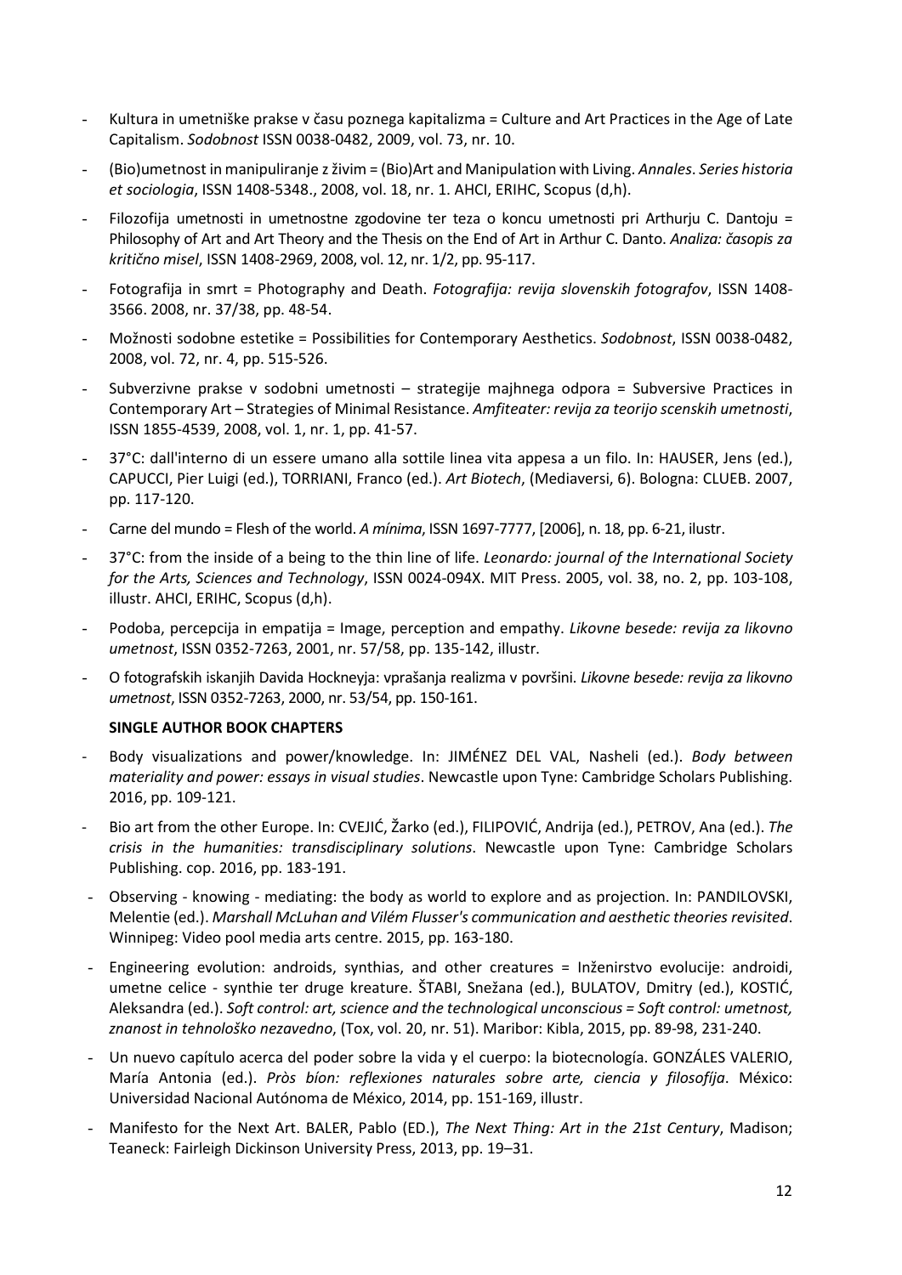- Kultura in umetniške prakse v času poznega kapitalizma = Culture and Art Practices in the Age of Late Capitalism. Sodobnost ISSN 0038-0482, 2009, vol. 73, nr. 10.
- (Bio)umetnost in manipuliranje z živim = (Bio)Art and Manipulation with Living. Annales. Series historia et sociologia, ISSN 1408-5348., 2008, vol. 18, nr. 1. AHCI, ERIHC, Scopus (d,h).
- Filozofija umetnosti in umetnostne zgodovine ter teza o koncu umetnosti pri Arthurju C. Dantoju = Philosophy of Art and Art Theory and the Thesis on the End of Art in Arthur C. Danto. Analiza: časopis za kritično misel, ISSN 1408-2969, 2008, vol. 12, nr. 1/2, pp. 95-117.
- Fotografija in smrt = Photography and Death. Fotografija: revija slovenskih fotografov, ISSN 1408- 3566. 2008, nr. 37/38, pp. 48-54.
- Možnosti sodobne estetike = Possibilities for Contemporary Aesthetics. Sodobnost, ISSN 0038-0482, 2008, vol. 72, nr. 4, pp. 515-526.
- Subverzivne prakse v sodobni umetnosti strategije majhnega odpora = Subversive Practices in Contemporary Art – Strategies of Minimal Resistance. Amfiteater: revija za teorijo scenskih umetnosti, ISSN 1855-4539, 2008, vol. 1, nr. 1, pp. 41-57.
- 37°C: dall'interno di un essere umano alla sottile linea vita appesa a un filo. In: HAUSER, Jens (ed.), CAPUCCI, Pier Luigi (ed.), TORRIANI, Franco (ed.). Art Biotech, (Mediaversi, 6). Bologna: CLUEB. 2007, pp. 117-120.
- Carne del mundo = Flesh of the world. A mínima, ISSN 1697-7777, [2006], n. 18, pp. 6-21, ilustr.
- 37°C: from the inside of a being to the thin line of life. Leonardo: journal of the International Society for the Arts, Sciences and Technology, ISSN 0024-094X. MIT Press. 2005, vol. 38, no. 2, pp. 103-108, illustr. AHCI, ERIHC, Scopus (d,h).
- Podoba, percepcija in empatija = Image, perception and empathy. Likovne besede: revija za likovno umetnost, ISSN 0352-7263, 2001, nr. 57/58, pp. 135-142, illustr.
- O fotografskih iskanjih Davida Hockneyja: vprašanja realizma v površini. Likovne besede: revija za likovno umetnost, ISSN 0352-7263, 2000, nr. 53/54, pp. 150-161.

### SINGLE AUTHOR BOOK CHAPTERS

- Body visualizations and power/knowledge. In: JIMÉNEZ DEL VAL, Nasheli (ed.). Body between materiality and power: essays in visual studies. Newcastle upon Tyne: Cambridge Scholars Publishing. 2016, pp. 109-121.
- Bio art from the other Europe. In: CVEJIĆ, Žarko (ed.), FILIPOVIĆ, Andrija (ed.), PETROV, Ana (ed.). The crisis in the humanities: transdisciplinary solutions. Newcastle upon Tyne: Cambridge Scholars Publishing. cop. 2016, pp. 183-191.
- Observing knowing mediating: the body as world to explore and as projection. In: PANDILOVSKI, Melentie (ed.). Marshall McLuhan and Vilém Flusser's communication and aesthetic theories revisited. Winnipeg: Video pool media arts centre. 2015, pp. 163-180.
- Engineering evolution: androids, synthias, and other creatures = Inženirstvo evolucije: androidi, umetne celice - synthie ter druge kreature. ŠTABI, Snežana (ed.), BULATOV, Dmitry (ed.), KOSTIĆ, Aleksandra (ed.). Soft control: art, science and the technological unconscious = Soft control: umetnost, znanost in tehnološko nezavedno, (Tox, vol. 20, nr. 51). Maribor: Kibla, 2015, pp. 89-98, 231-240.
- Un nuevo capítulo acerca del poder sobre la vida y el cuerpo: la biotecnología. GONZÁLES VALERIO, María Antonia (ed.). Pròs bíon: reflexiones naturales sobre arte, ciencia y filosofíja. México: Universidad Nacional Autónoma de México, 2014, pp. 151-169, illustr.
- Manifesto for the Next Art. BALER, Pablo (ED.), The Next Thing: Art in the 21st Century, Madison; Teaneck: Fairleigh Dickinson University Press, 2013, pp. 19–31.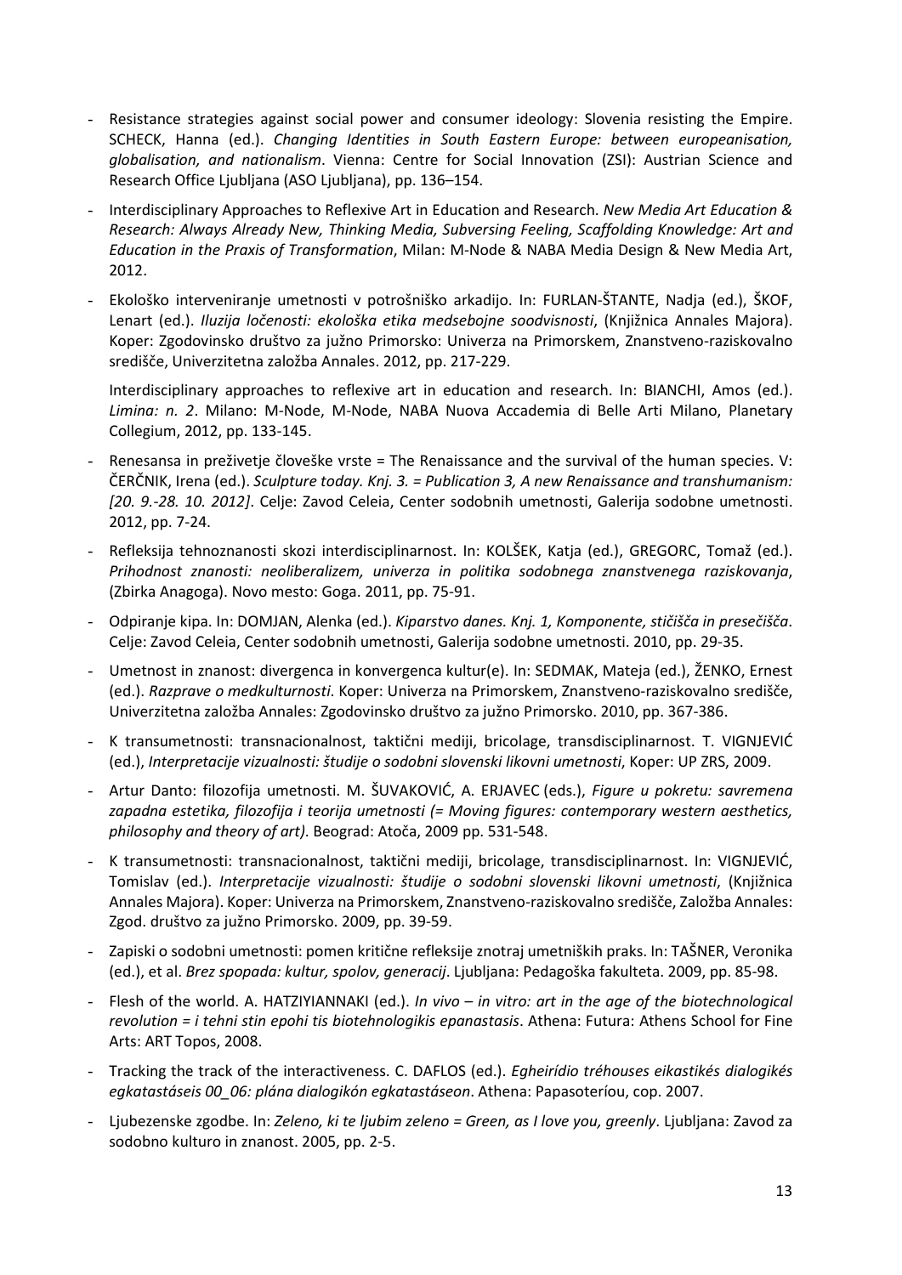- Resistance strategies against social power and consumer ideology: Slovenia resisting the Empire. SCHECK, Hanna (ed.). Changing Identities in South Eastern Europe: between europeanisation, globalisation, and nationalism. Vienna: Centre for Social Innovation (ZSI): Austrian Science and Research Office Ljubljana (ASO Ljubljana), pp. 136–154.
- Interdisciplinary Approaches to Reflexive Art in Education and Research. New Media Art Education & Research: Always Already New, Thinking Media, Subversing Feeling, Scaffolding Knowledge: Art and Education in the Praxis of Transformation, Milan: M-Node & NABA Media Design & New Media Art, 2012.
- Ekološko interveniranje umetnosti v potrošniško arkadijo. In: FURLAN-ŠTANTE, Nadja (ed.), ŠKOF, Lenart (ed.). Iluzija ločenosti: ekološka etika medsebojne soodvisnosti, (Knjižnica Annales Majora). Koper: Zgodovinsko društvo za južno Primorsko: Univerza na Primorskem, Znanstveno-raziskovalno središče, Univerzitetna založba Annales. 2012, pp. 217-229.

Interdisciplinary approaches to reflexive art in education and research. In: BIANCHI, Amos (ed.). Limina: n. 2. Milano: M-Node, M-Node, NABA Nuova Accademia di Belle Arti Milano, Planetary Collegium, 2012, pp. 133-145.

- Renesansa in preživetje človeške vrste = The Renaissance and the survival of the human species. V: ČERČNIK, Irena (ed.). Sculpture today. Knj. 3. = Publication 3, A new Renaissance and transhumanism: [20. 9.-28. 10. 2012]. Celje: Zavod Celeia, Center sodobnih umetnosti, Galerija sodobne umetnosti. 2012, pp. 7-24.
- Refleksija tehnoznanosti skozi interdisciplinarnost. In: KOLŠEK, Katja (ed.), GREGORC, Tomaž (ed.). Prihodnost znanosti: neoliberalizem, univerza in politika sodobnega znanstvenega raziskovanja, (Zbirka Anagoga). Novo mesto: Goga. 2011, pp. 75-91.
- Odpiranje kipa. In: DOMJAN, Alenka (ed.). Kiparstvo danes. Knj. 1, Komponente, stičišča in presečišča. Celje: Zavod Celeia, Center sodobnih umetnosti, Galerija sodobne umetnosti. 2010, pp. 29-35.
- Umetnost in znanost: divergenca in konvergenca kultur(e). In: SEDMAK, Mateja (ed.), ŽENKO, Ernest (ed.). Razprave o medkulturnosti. Koper: Univerza na Primorskem, Znanstveno-raziskovalno središče, Univerzitetna založba Annales: Zgodovinsko društvo za južno Primorsko. 2010, pp. 367-386.
- K transumetnosti: transnacionalnost, taktični mediji, bricolage, transdisciplinarnost. T. VIGNJEVIĆ (ed.), Interpretacije vizualnosti: študije o sodobni slovenski likovni umetnosti, Koper: UP ZRS, 2009.
- Artur Danto: filozofija umetnosti. M. ŠUVAKOVIĆ, A. ERJAVEC (eds.), Figure u pokretu: savremena zapadna estetika, filozofija i teorija umetnosti (= Moving figures: contemporary western aesthetics, philosophy and theory of art). Beograd: Atoča, 2009 pp. 531-548.
- K transumetnosti: transnacionalnost, taktični mediji, bricolage, transdisciplinarnost. In: VIGNJEVIĆ, Tomislav (ed.). Interpretacije vizualnosti: študije o sodobni slovenski likovni umetnosti, (Knjižnica Annales Majora). Koper: Univerza na Primorskem, Znanstveno-raziskovalno središče, Založba Annales: Zgod. društvo za južno Primorsko. 2009, pp. 39-59.
- Zapiski o sodobni umetnosti: pomen kritične refleksije znotraj umetniških praks. In: TAŠNER, Veronika (ed.), et al. Brez spopada: kultur, spolov, generacij. Ljubljana: Pedagoška fakulteta. 2009, pp. 85-98.
- Flesh of the world. A. HATZIYIANNAKI (ed.). In vivo in vitro: art in the age of the biotechnological revolution = i tehni stin epohi tis biotehnologikis epanastasis. Athena: Futura: Athens School for Fine Arts: ART Topos, 2008.
- Tracking the track of the interactiveness. C. DAFLOS (ed.). Egheirídio tréhouses eikastikés dialogikés egkatastáseis 00\_06: plána dialogikón egkatastáseon. Athena: Papasoteríou, cop. 2007.
- Ljubezenske zgodbe. In: Zeleno, ki te ljubim zeleno = Green, as I love you, greenly. Ljubljana: Zavod za sodobno kulturo in znanost. 2005, pp. 2-5.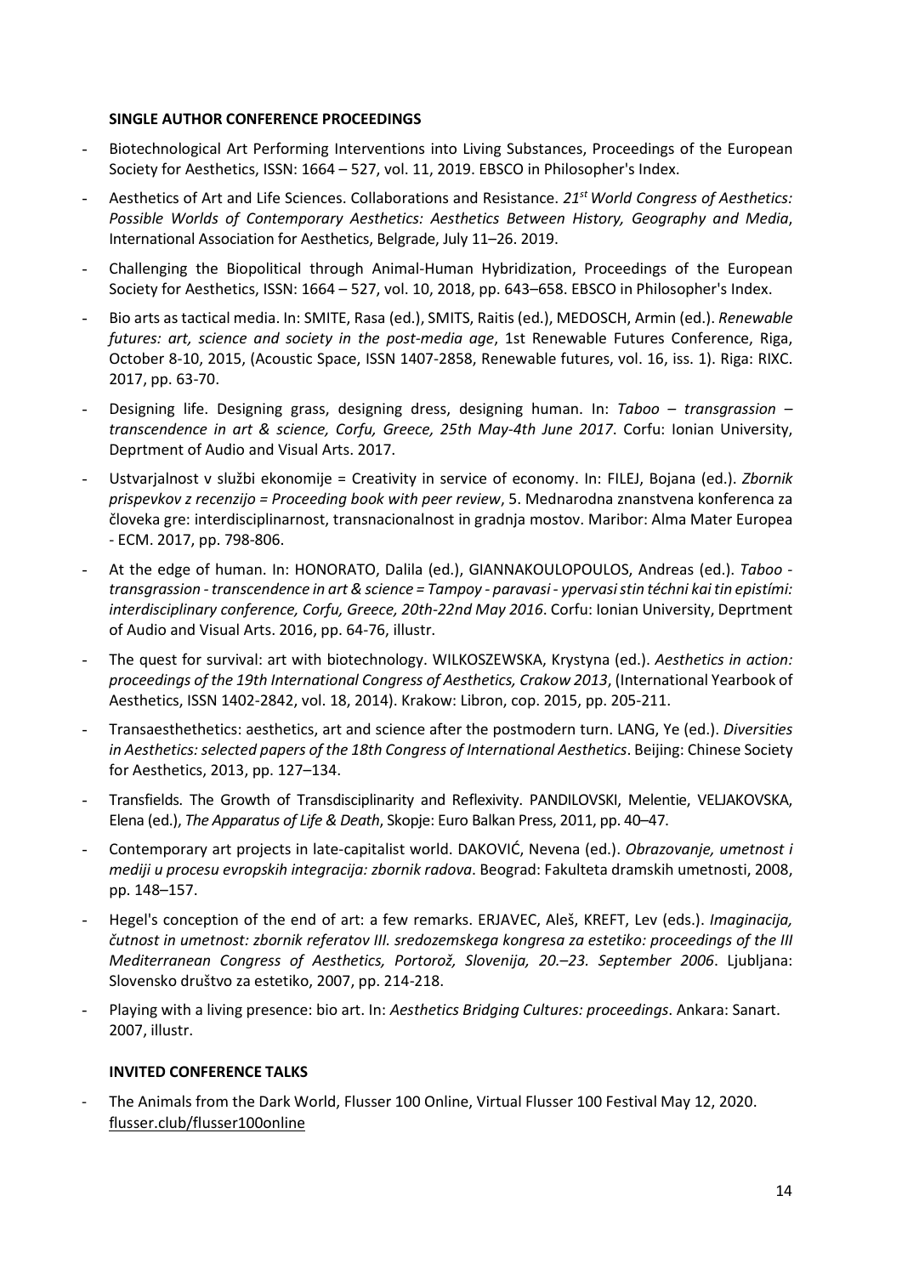#### SINGLE AUTHOR CONFERENCE PROCEEDINGS

- Biotechnological Art Performing Interventions into Living Substances, Proceedings of the European Society for Aesthetics, ISSN: 1664 – 527, vol. 11, 2019. EBSCO in Philosopher's Index.
- Aesthetics of Art and Life Sciences. Collaborations and Resistance. 21<sup>st</sup> World Congress of Aesthetics: Possible Worlds of Contemporary Aesthetics: Aesthetics Between History, Geography and Media, International Association for Aesthetics, Belgrade, July 11–26. 2019.
- Challenging the Biopolitical through Animal-Human Hybridization, Proceedings of the European Society for Aesthetics, ISSN: 1664 – 527, vol. 10, 2018, pp. 643–658. EBSCO in Philosopher's Index.
- Bio arts as tactical media. In: SMITE, Rasa (ed.), SMITS, Raitis (ed.), MEDOSCH, Armin (ed.). Renewable futures: art, science and society in the post-media age, 1st Renewable Futures Conference, Riga, October 8-10, 2015, (Acoustic Space, ISSN 1407-2858, Renewable futures, vol. 16, iss. 1). Riga: RIXC. 2017, pp. 63-70.
- Designing life. Designing grass, designing dress, designing human. In: Taboo transgrassion transcendence in art & science, Corfu, Greece, 25th May-4th June 2017. Corfu: Ionian University, Deprtment of Audio and Visual Arts. 2017.
- Ustvarjalnost v službi ekonomije = Creativity in service of economy. In: FILEJ, Bojana (ed.). Zbornik prispevkov z recenzijo = Proceeding book with peer review, 5. Mednarodna znanstvena konferenca za človeka gre: interdisciplinarnost, transnacionalnost in gradnja mostov. Maribor: Alma Mater Europea - ECM. 2017, pp. 798-806.
- At the edge of human. In: HONORATO, Dalila (ed.), GIANNAKOULOPOULOS, Andreas (ed.). Taboo transgrassion - transcendence in art & science = Tampoy - paravasi - ypervasi stin téchni kai tin epistími: interdisciplinary conference, Corfu, Greece, 20th-22nd May 2016. Corfu: Ionian University, Deprtment of Audio and Visual Arts. 2016, pp. 64-76, illustr.
- The quest for survival: art with biotechnology. WILKOSZEWSKA, Krystyna (ed.). Aesthetics in action: proceedings of the 19th International Congress of Aesthetics, Crakow 2013, (International Yearbook of Aesthetics, ISSN 1402-2842, vol. 18, 2014). Krakow: Libron, cop. 2015, pp. 205-211.
- Transaesthethetics: aesthetics, art and science after the postmodern turn. LANG, Ye (ed.). Diversities in Aesthetics: selected papers of the 18th Congress of International Aesthetics. Beijing: Chinese Society for Aesthetics, 2013, pp. 127–134.
- Transfields. The Growth of Transdisciplinarity and Reflexivity. PANDILOVSKI, Melentie, VELJAKOVSKA, Elena (ed.), The Apparatus of Life & Death, Skopje: Euro Balkan Press, 2011, pp. 40–47.
- Contemporary art projects in late-capitalist world. DAKOVIĆ, Nevena (ed.). Obrazovanje, umetnost i mediji u procesu evropskih integracija: zbornik radova. Beograd: Fakulteta dramskih umetnosti, 2008, pp. 148–157.
- Hegel's conception of the end of art: a few remarks. ERJAVEC, Aleš, KREFT, Lev (eds.). Imaginacija, čutnost in umetnost: zbornik referatov III. sredozemskega kongresa za estetiko: proceedings of the III Mediterranean Congress of Aesthetics, Portorož, Slovenija, 20.–23. September 2006. Ljubljana: Slovensko društvo za estetiko, 2007, pp. 214-218.
- Playing with a living presence: bio art. In: Aesthetics Bridging Cultures: proceedings. Ankara: Sanart. 2007, illustr.

### INVITED CONFERENCE TALKS

- The Animals from the Dark World, Flusser 100 Online, Virtual Flusser 100 Festival May 12, 2020. flusser.club/flusser100online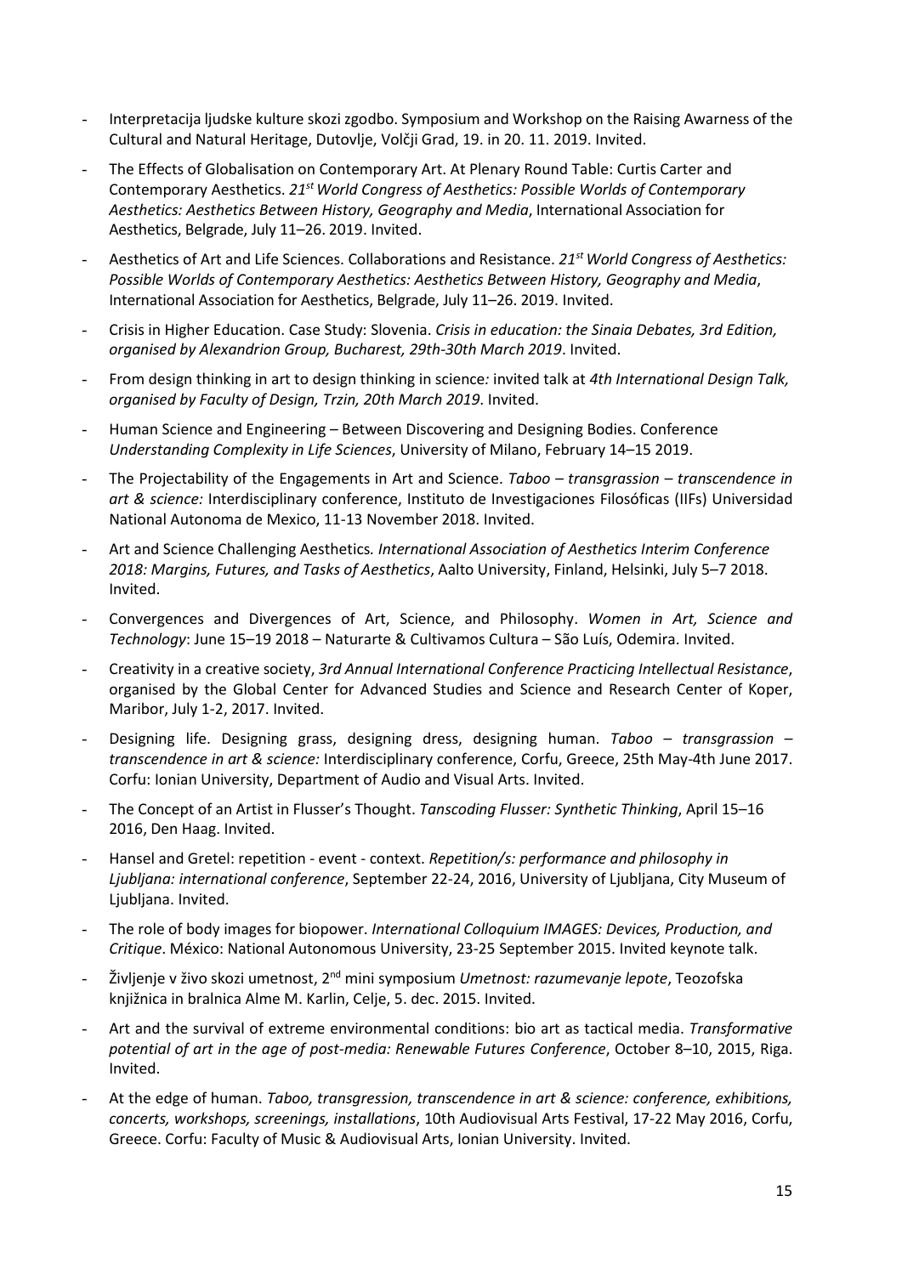- Interpretacija ljudske kulture skozi zgodbo. Symposium and Workshop on the Raising Awarness of the Cultural and Natural Heritage, Dutovlje, Volčji Grad, 19. in 20. 11. 2019. Invited.
- The Effects of Globalisation on Contemporary Art. At Plenary Round Table: Curtis Carter and Contemporary Aesthetics. 21<sup>st</sup> World Congress of Aesthetics: Possible Worlds of Contemporary Aesthetics: Aesthetics Between History, Geography and Media, International Association for Aesthetics, Belgrade, July 11–26. 2019. Invited.
- Aesthetics of Art and Life Sciences. Collaborations and Resistance. 21<sup>st</sup> World Congress of Aesthetics: Possible Worlds of Contemporary Aesthetics: Aesthetics Between History, Geography and Media, International Association for Aesthetics, Belgrade, July 11–26. 2019. Invited.
- Crisis in Higher Education. Case Study: Slovenia. Crisis in education: the Sinaia Debates, 3rd Edition, organised by Alexandrion Group, Bucharest, 29th-30th March 2019. Invited.
- From design thinking in art to design thinking in science: invited talk at 4th International Design Talk, organised by Faculty of Design, Trzin, 20th March 2019. Invited.
- Human Science and Engineering Between Discovering and Designing Bodies. Conference Understanding Complexity in Life Sciences, University of Milano, February 14–15 2019.
- The Projectability of the Engagements in Art and Science. Taboo transgrassion transcendence in art & science: Interdisciplinary conference, Instituto de Investigaciones Filosóficas (IIFs) Universidad National Autonoma de Mexico, 11-13 November 2018. Invited.
- Art and Science Challenging Aesthetics. International Association of Aesthetics Interim Conference 2018: Margins, Futures, and Tasks of Aesthetics, Aalto University, Finland, Helsinki, July 5–7 2018. Invited.
- Convergences and Divergences of Art, Science, and Philosophy. Women in Art, Science and Technology: June 15–19 2018 – Naturarte & Cultivamos Cultura – São Luís, Odemira. Invited.
- Creativity in a creative society, 3rd Annual International Conference Practicing Intellectual Resistance, organised by the Global Center for Advanced Studies and Science and Research Center of Koper, Maribor, July 1-2, 2017. Invited.
- Designing life. Designing grass, designing dress, designing human. Taboo transgrassion transcendence in art & science: Interdisciplinary conference, Corfu, Greece, 25th May-4th June 2017. Corfu: Ionian University, Department of Audio and Visual Arts. Invited.
- The Concept of an Artist in Flusser's Thought. Tanscoding Flusser: Synthetic Thinking, April 15-16 2016, Den Haag. Invited.
- Hansel and Gretel: repetition event context. Repetition/s: performance and philosophy in Ljubljana: international conference, September 22-24, 2016, University of Ljubljana, City Museum of Ljubljana. Invited.
- The role of body images for biopower. International Colloquium IMAGES: Devices, Production, and Critique. México: National Autonomous University, 23-25 September 2015. Invited keynote talk.
- Življenje v živo skozi umetnost, 2<sup>nd</sup> mini symposium Umetnost: razumevanje lepote, Teozofska knjižnica in bralnica Alme M. Karlin, Celje, 5. dec. 2015. Invited.
- Art and the survival of extreme environmental conditions: bio art as tactical media. Transformative potential of art in the age of post-media: Renewable Futures Conference, October 8–10, 2015, Riga. Invited.
- At the edge of human. Taboo, transgression, transcendence in art & science: conference, exhibitions, concerts, workshops, screenings, installations, 10th Audiovisual Arts Festival, 17-22 May 2016, Corfu, Greece. Corfu: Faculty of Music & Audiovisual Arts, Ionian University. Invited.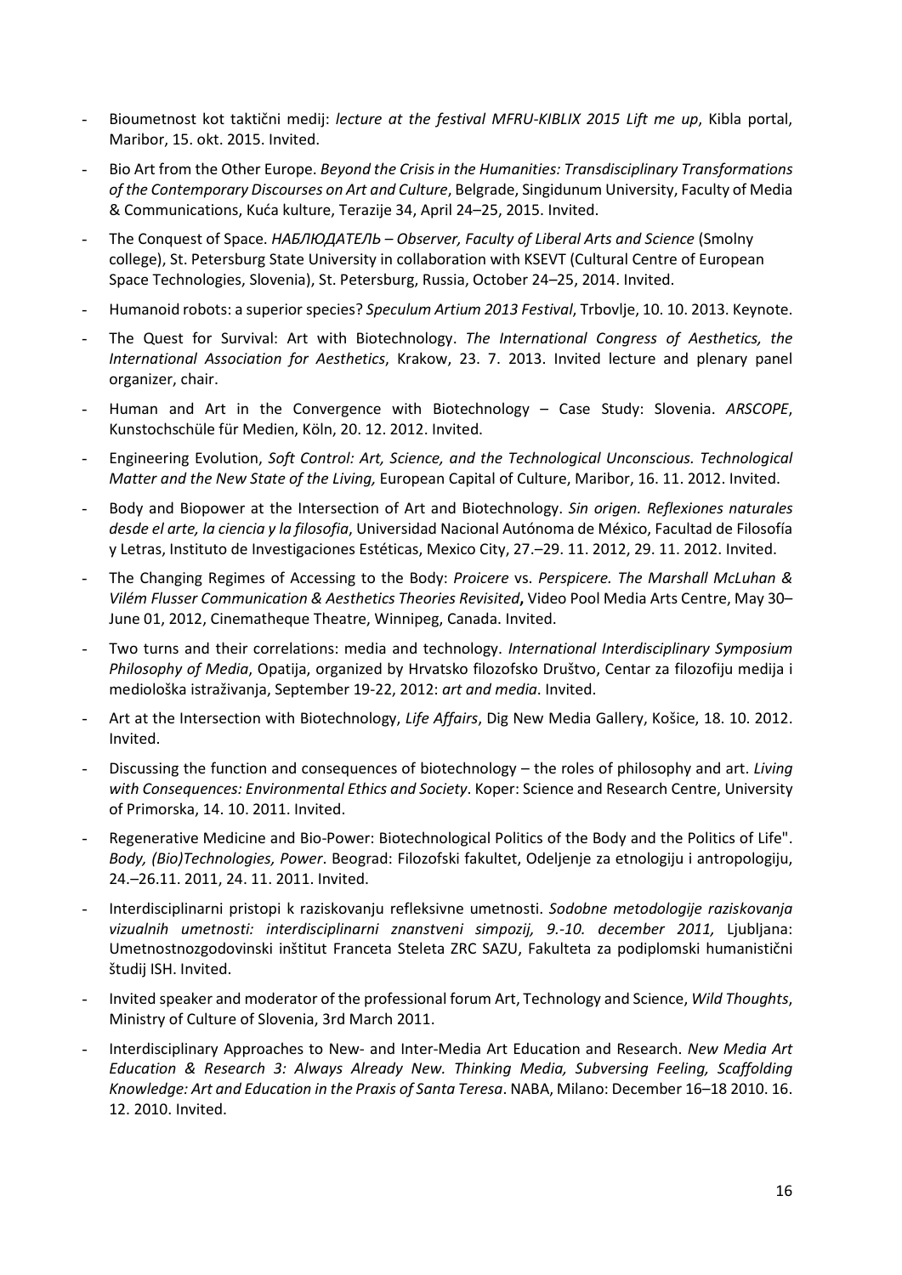- Bioumetnost kot taktični medij: lecture at the festival MFRU-KIBLIX 2015 Lift me up, Kibla portal, Maribor, 15. okt. 2015. Invited.
- Bio Art from the Other Europe. Beyond the Crisis in the Humanities: Transdisciplinary Transformations of the Contemporary Discourses on Art and Culture, Belgrade, Singidunum University, Faculty of Media & Communications, Kuća kulture, Terazije 34, April 24–25, 2015. Invited.
- The Conquest of Space. НАБЛЮДАТЕЛЬ Observer, Faculty of Liberal Arts and Science (Smolny college), St. Petersburg State University in collaboration with KSEVT (Cultural Centre of European Space Technologies, Slovenia), St. Petersburg, Russia, October 24–25, 2014. Invited.
- Humanoid robots: a superior species? Speculum Artium 2013 Festival, Trbovlje, 10. 10. 2013. Keynote.
- The Quest for Survival: Art with Biotechnology. The International Congress of Aesthetics, the International Association for Aesthetics, Krakow, 23. 7. 2013. Invited lecture and plenary panel organizer, chair.
- Human and Art in the Convergence with Biotechnology Case Study: Slovenia. ARSCOPE, Kunstochschüle für Medien, Köln, 20. 12. 2012. Invited.
- Engineering Evolution, Soft Control: Art, Science, and the Technological Unconscious. Technological Matter and the New State of the Living, European Capital of Culture, Maribor, 16. 11. 2012. Invited.
- Body and Biopower at the Intersection of Art and Biotechnology. Sin origen. Reflexiones naturales desde el arte, la ciencia y la filosofia, Universidad Nacional Autónoma de México, Facultad de Filosofía y Letras, Instituto de Investigaciones Estéticas, Mexico City, 27.–29. 11. 2012, 29. 11. 2012. Invited.
- The Changing Regimes of Accessing to the Body: Proicere vs. Perspicere. The Marshall McLuhan & Vilém Flusser Communication & Aesthetics Theories Revisited, Video Pool Media Arts Centre, May 30– June 01, 2012, Cinematheque Theatre, Winnipeg, Canada. Invited.
- Two turns and their correlations: media and technology. International Interdisciplinary Symposium Philosophy of Media, Opatija, organized by Hrvatsko filozofsko Društvo, Centar za filozofiju medija i mediološka istraživanja, September 19-22, 2012: art and media. Invited.
- Art at the Intersection with Biotechnology, Life Affairs, Dig New Media Gallery, Košice, 18. 10. 2012. Invited.
- Discussing the function and consequences of biotechnology the roles of philosophy and art. Living with Consequences: Environmental Ethics and Society. Koper: Science and Research Centre, University of Primorska, 14. 10. 2011. Invited.
- Regenerative Medicine and Bio-Power: Biotechnological Politics of the Body and the Politics of Life". Body, (Bio)Technologies, Power. Beograd: Filozofski fakultet, Odeljenje za etnologiju i antropologiju, 24.–26.11. 2011, 24. 11. 2011. Invited.
- Interdisciplinarni pristopi k raziskovanju refleksivne umetnosti. Sodobne metodologije raziskovanja vizualnih umetnosti: interdisciplinarni znanstveni simpozij, 9.-10. december 2011, Ljubljana: Umetnostnozgodovinski inštitut Franceta Steleta ZRC SAZU, Fakulteta za podiplomski humanistični študij ISH. Invited.
- Invited speaker and moderator of the professional forum Art, Technology and Science, Wild Thoughts, Ministry of Culture of Slovenia, 3rd March 2011.
- Interdisciplinary Approaches to New- and Inter-Media Art Education and Research. New Media Art Education & Research 3: Always Already New. Thinking Media, Subversing Feeling, Scaffolding Knowledge: Art and Education in the Praxis of Santa Teresa. NABA, Milano: December 16–18 2010. 16. 12. 2010. Invited.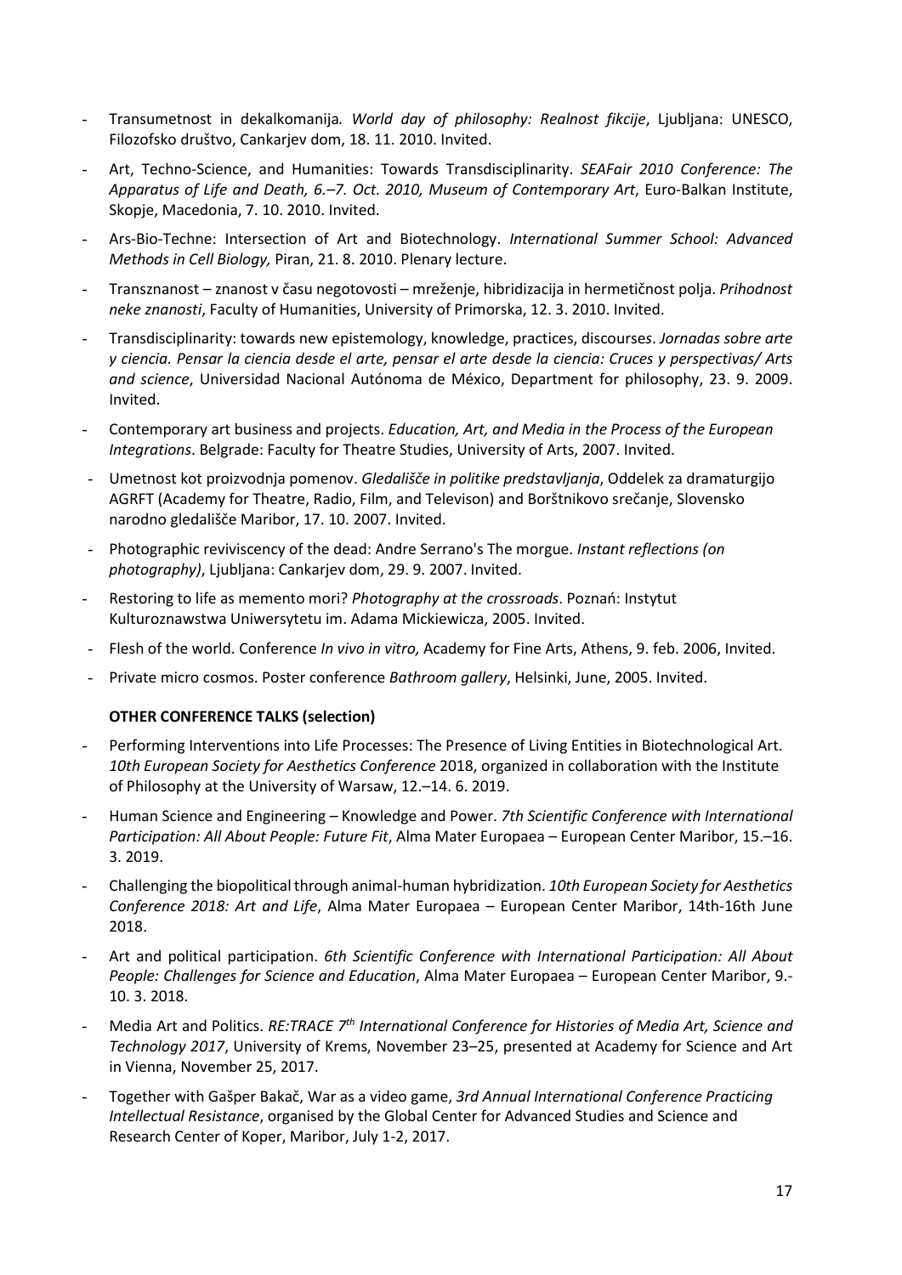- Transumetnost in dekalkomanija. World day of philosophy: Realnost fikcije, Ljubljana: UNESCO, Filozofsko društvo, Cankarjev dom, 18. 11. 2010. Invited.
- Art, Techno-Science, and Humanities: Towards Transdisciplinarity. SEAFair 2010 Conference: The Apparatus of Life and Death, 6.–7. Oct. 2010, Museum of Contemporary Art, Euro-Balkan Institute, Skopje, Macedonia, 7. 10. 2010. Invited.
- Ars-Bio-Techne: Intersection of Art and Biotechnology. International Summer School: Advanced Methods in Cell Biology, Piran, 21. 8. 2010. Plenary lecture.
- Transznanost znanost v času negotovosti mreženje, hibridizacija in hermetičnost polja. Prihodnost neke znanosti, Faculty of Humanities, University of Primorska, 12. 3. 2010. Invited.
- Transdisciplinarity: towards new epistemology, knowledge, practices, discourses. Jornadas sobre arte y ciencia. Pensar la ciencia desde el arte, pensar el arte desde la ciencia: Cruces y perspectivas/ Arts and science, Universidad Nacional Autónoma de México, Department for philosophy, 23. 9. 2009. Invited.
- Contemporary art business and projects. Education, Art, and Media in the Process of the European Integrations. Belgrade: Faculty for Theatre Studies, University of Arts, 2007. Invited.
- Umetnost kot proizvodnja pomenov. Gledališče in politike predstavljanja, Oddelek za dramaturgijo AGRFT (Academy for Theatre, Radio, Film, and Televison) and Borštnikovo srečanje, Slovensko narodno gledališče Maribor, 17. 10. 2007. Invited.
- Photographic reviviscency of the dead: Andre Serrano's The morgue. Instant reflections (on photography), Ljubljana: Cankarjev dom, 29. 9. 2007. Invited.
- Restoring to life as memento mori? Photography at the crossroads. Poznań: Instytut Kulturoznawstwa Uniwersytetu im. Adama Mickiewicza, 2005. Invited.
- Flesh of the world. Conference In vivo in vitro, Academy for Fine Arts, Athens, 9. feb. 2006, Invited.
- Private micro cosmos. Poster conference Bathroom gallery, Helsinki, June, 2005. Invited.

### OTHER CONFERENCE TALKS (selection)

- Performing Interventions into Life Processes: The Presence of Living Entities in Biotechnological Art. 10th European Society for Aesthetics Conference 2018, organized in collaboration with the Institute of Philosophy at the University of Warsaw, 12.–14. 6. 2019.
- Human Science and Engineering Knowledge and Power. 7th Scientific Conference with International Participation: All About People: Future Fit, Alma Mater Europaea – European Center Maribor, 15.–16. 3. 2019.
- Challenging the biopolitical through animal-human hybridization. 10th European Society for Aesthetics Conference 2018: Art and Life, Alma Mater Europaea – European Center Maribor, 14th-16th June 2018.
- Art and political participation. 6th Scientific Conference with International Participation: All About People: Challenges for Science and Education, Alma Mater Europaea – European Center Maribor, 9.- 10. 3. 2018.
- Media Art and Politics. RE:TRACE 7<sup>th</sup> International Conference for Histories of Media Art, Science and Technology 2017, University of Krems, November 23–25, presented at Academy for Science and Art in Vienna, November 25, 2017.
- Together with Gašper Bakač, War as a video game, 3rd Annual International Conference Practicing Intellectual Resistance, organised by the Global Center for Advanced Studies and Science and Research Center of Koper, Maribor, July 1-2, 2017.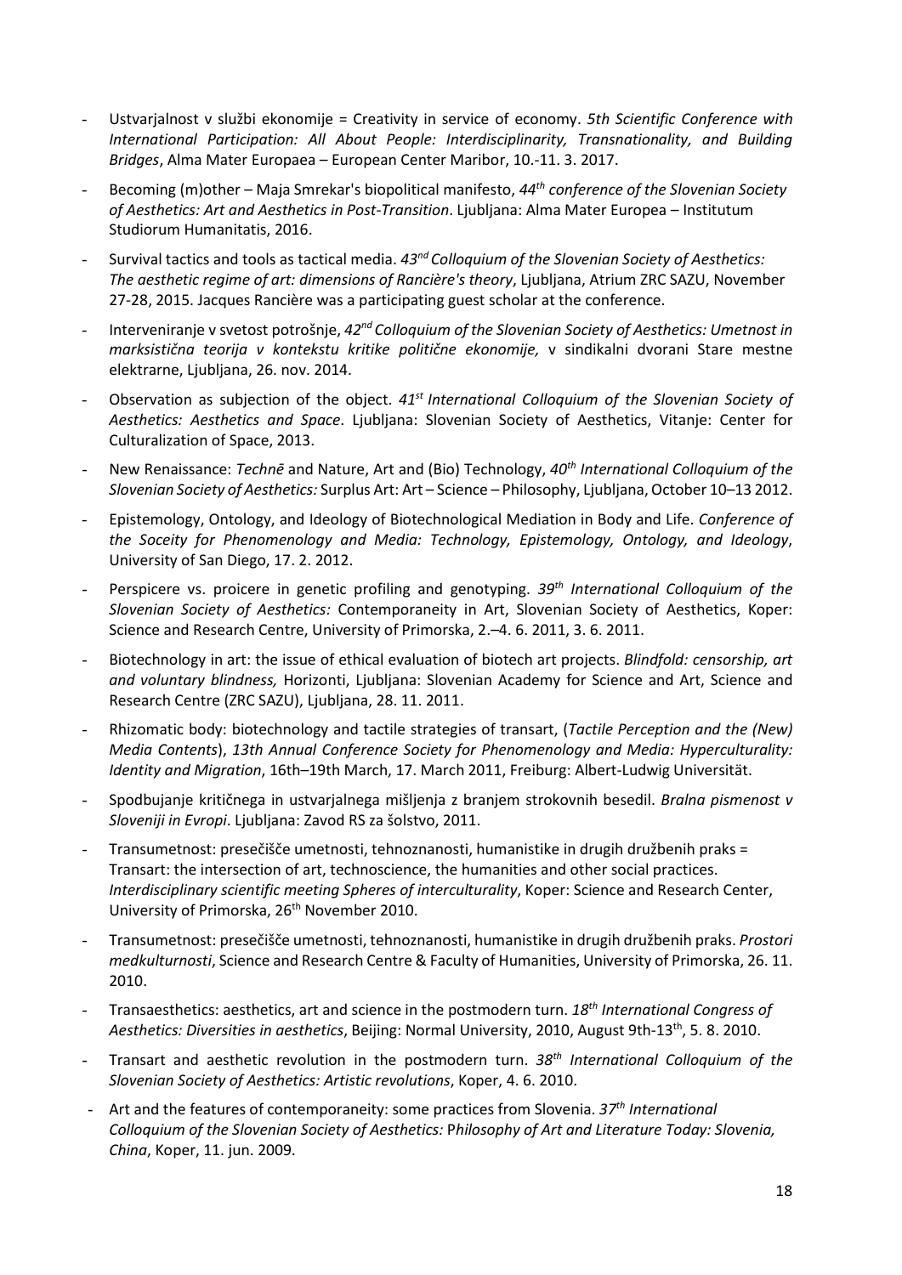- Ustvarjalnost v službi ekonomije = Creativity in service of economy. 5th Scientific Conference with International Participation: All About People: Interdisciplinarity, Transnationality, and Building Bridges, Alma Mater Europaea – European Center Maribor, 10.-11. 3. 2017.
- Becoming (m)other Maja Smrekar's biopolitical manifesto, 44<sup>th</sup> conference of the Slovenian Society of Aesthetics: Art and Aesthetics in Post-Transition. Ljubljana: Alma Mater Europea – Institutum Studiorum Humanitatis, 2016.
- Survival tactics and tools as tactical media.  $43^{nd}$  Colloquium of the Slovenian Society of Aesthetics: The aesthetic regime of art: dimensions of Rancière's theory, Ljubljana, Atrium ZRC SAZU, November 27-28, 2015. Jacques Rancière was a participating guest scholar at the conference.
- Interveniranje v svetost potrošnje, 42<sup>nd</sup> Colloquium of the Slovenian Society of Aesthetics: Umetnost in marksistična teorija v kontekstu kritike politične ekonomije, v sindikalni dvorani Stare mestne elektrarne, Ljubljana, 26. nov. 2014.
- Observation as subjection of the object.  $41<sup>st</sup>$  International Colloquium of the Slovenian Society of Aesthetics: Aesthetics and Space. Ljubljana: Slovenian Society of Aesthetics, Vitanje: Center for Culturalization of Space, 2013.
- New Renaissance: Techne and Nature, Art and (Bio) Technology, 40<sup>th</sup> International Colloquium of the Slovenian Society of Aesthetics: Surplus Art: Art – Science – Philosophy, Ljubljana, October 10–13 2012.
- Epistemology, Ontology, and Ideology of Biotechnological Mediation in Body and Life. Conference of the Soceity for Phenomenology and Media: Technology, Epistemology, Ontology, and Ideology, University of San Diego, 17. 2. 2012.
- Perspicere vs. proicere in genetic profiling and genotyping.  $39<sup>th</sup>$  International Colloquium of the Slovenian Society of Aesthetics: Contemporaneity in Art, Slovenian Society of Aesthetics, Koper: Science and Research Centre, University of Primorska, 2.–4. 6. 2011, 3. 6. 2011.
- Biotechnology in art: the issue of ethical evaluation of biotech art projects. Blindfold: censorship, art and voluntary blindness, Horizonti, Ljubljana: Slovenian Academy for Science and Art, Science and Research Centre (ZRC SAZU), Ljubljana, 28. 11. 2011.
- Rhizomatic body: biotechnology and tactile strategies of transart, (Tactile Perception and the (New) Media Contents), 13th Annual Conference Society for Phenomenology and Media: Hyperculturality: Identity and Migration, 16th–19th March, 17. March 2011, Freiburg: Albert-Ludwig Universität.
- Spodbujanje kritičnega in ustvarjalnega mišljenja z branjem strokovnih besedil. Bralna pismenost v Sloveniji in Evropi. Ljubljana: Zavod RS za šolstvo, 2011.
- Transumetnost: presečišče umetnosti, tehnoznanosti, humanistike in drugih družbenih praks = Transart: the intersection of art, technoscience, the humanities and other social practices. Interdisciplinary scientific meeting Spheres of interculturality, Koper: Science and Research Center, University of Primorska, 26<sup>th</sup> November 2010.
- Transumetnost: presečišče umetnosti, tehnoznanosti, humanistike in drugih družbenih praks. Prostori medkulturnosti, Science and Research Centre & Faculty of Humanities, University of Primorska, 26. 11. 2010.
- Transaesthetics: aesthetics, art and science in the postmodern turn. 18<sup>th</sup> International Congress of Aesthetics: Diversities in aesthetics, Beijing: Normal University, 2010, August 9th-13<sup>th</sup>, 5. 8. 2010.
- Transart and aesthetic revolution in the postmodern turn.  $38<sup>th</sup>$  International Colloquium of the Slovenian Society of Aesthetics: Artistic revolutions, Koper, 4. 6. 2010.
- Art and the features of contemporaneity: some practices from Slovenia.  $37<sup>th</sup> International$ Colloquium of the Slovenian Society of Aesthetics: Philosophy of Art and Literature Today: Slovenia, China, Koper, 11. jun. 2009.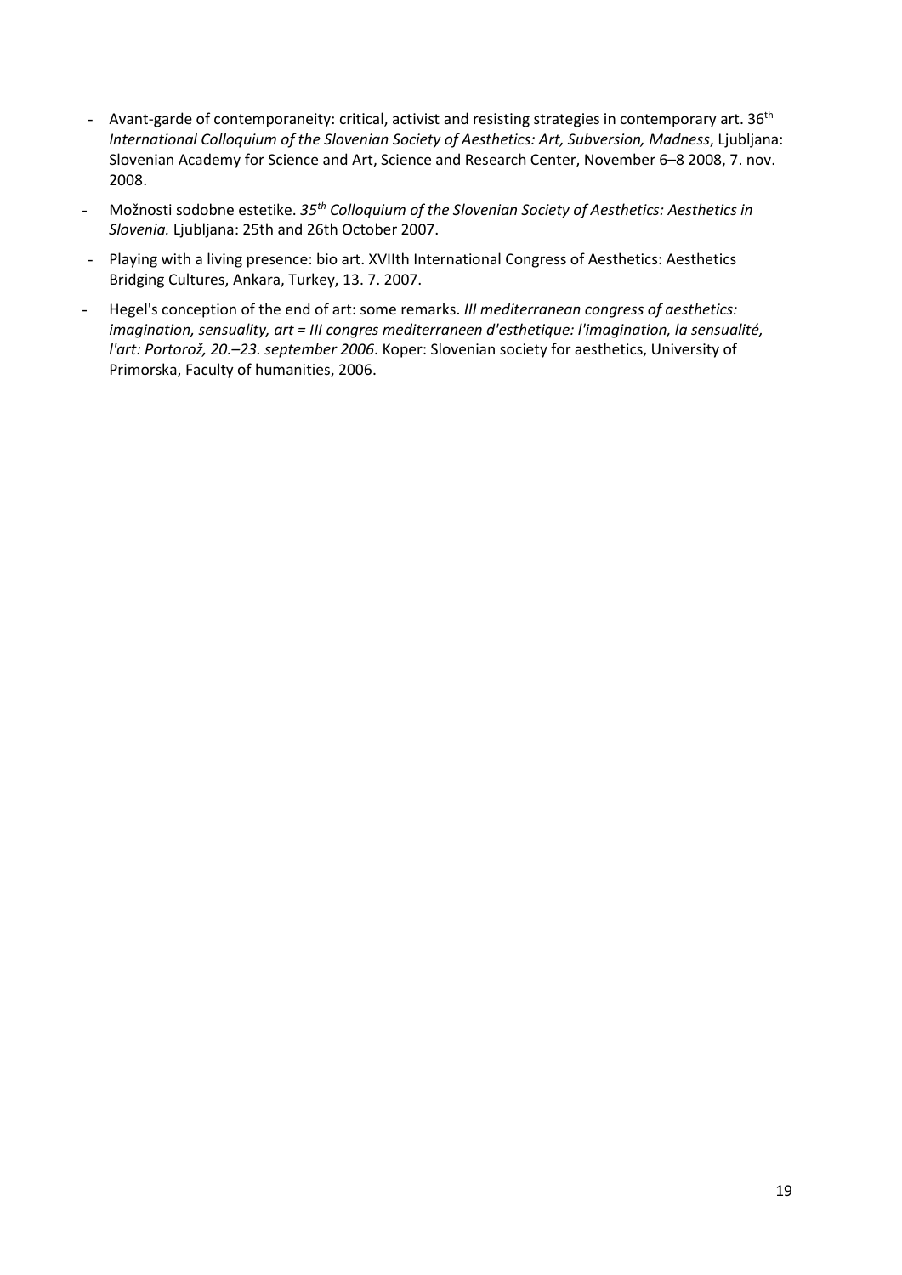- Avant-garde of contemporaneity: critical, activist and resisting strategies in contemporary art.  $36<sup>th</sup>$ International Colloquium of the Slovenian Society of Aesthetics: Art, Subversion, Madness, Ljubljana: Slovenian Academy for Science and Art, Science and Research Center, November 6–8 2008, 7. nov. 2008.
- Možnosti sodobne estetike. 35<sup>th</sup> Colloquium of the Slovenian Society of Aesthetics: Aesthetics in Slovenia. Ljubljana: 25th and 26th October 2007.
- Playing with a living presence: bio art. XVIIth International Congress of Aesthetics: Aesthetics Bridging Cultures, Ankara, Turkey, 13. 7. 2007.
- Hegel's conception of the end of art: some remarks. III mediterranean congress of aesthetics: imagination, sensuality, art = III congres mediterraneen d'esthetique: l'imagination, la sensualité, l'art: Portorož, 20.–23. september 2006. Koper: Slovenian society for aesthetics, University of Primorska, Faculty of humanities, 2006.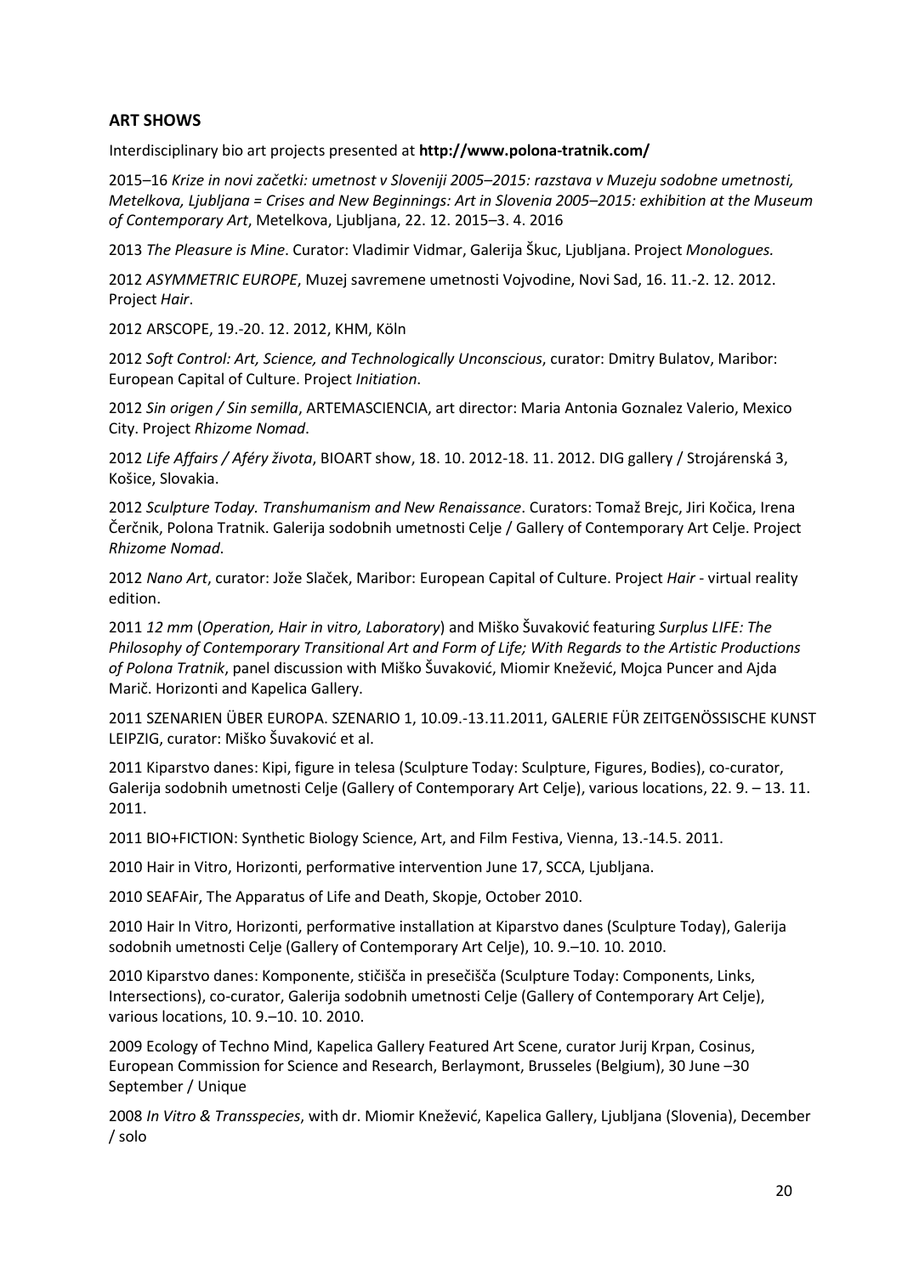# ART SHOWS

Interdisciplinary bio art projects presented at http://www.polona-tratnik.com/

2015–16 Krize in novi začetki: umetnost v Sloveniji 2005–2015: razstava v Muzeju sodobne umetnosti, Metelkova, Ljubljana = Crises and New Beginnings: Art in Slovenia 2005–2015: exhibition at the Museum of Contemporary Art, Metelkova, Ljubljana, 22. 12. 2015–3. 4. 2016

2013 The Pleasure is Mine. Curator: Vladimir Vidmar, Galerija Škuc, Ljubljana. Project Monologues.

2012 ASYMMETRIC EUROPE, Muzej savremene umetnosti Vojvodine, Novi Sad, 16. 11.-2. 12. 2012. Project Hair.

2012 ARSCOPE, 19.-20. 12. 2012, KHM, Köln

2012 Soft Control: Art, Science, and Technologically Unconscious, curator: Dmitry Bulatov, Maribor: European Capital of Culture. Project Initiation.

2012 Sin origen / Sin semilla, ARTEMASCIENCIA, art director: Maria Antonia Goznalez Valerio, Mexico City. Project Rhizome Nomad.

2012 Life Affairs / Aféry života, BIOART show, 18. 10. 2012-18. 11. 2012. DIG gallery / Strojárenská 3, Košice, Slovakia.

2012 Sculpture Today. Transhumanism and New Renaissance. Curators: Tomaž Brejc, Jiri Kočica, Irena Čerčnik, Polona Tratnik. Galerija sodobnih umetnosti Celje / Gallery of Contemporary Art Celje. Project Rhizome Nomad.

2012 Nano Art, curator: Jože Slaček, Maribor: European Capital of Culture. Project Hair - virtual reality edition.

2011 12 mm (Operation, Hair in vitro, Laboratory) and Miško Šuvaković featuring Surplus LIFE: The Philosophy of Contemporary Transitional Art and Form of Life; With Regards to the Artistic Productions of Polona Tratnik, panel discussion with Miško Šuvaković, Miomir Knežević, Mojca Puncer and Ajda Marič. Horizonti and Kapelica Gallery.

2011 SZENARIEN ÜBER EUROPA. SZENARIO 1, 10.09.-13.11.2011, GALERIE FÜR ZEITGENÖSSISCHE KUNST LEIPZIG, curator: Miško Šuvaković et al.

2011 Kiparstvo danes: Kipi, figure in telesa (Sculpture Today: Sculpture, Figures, Bodies), co-curator, Galerija sodobnih umetnosti Celje (Gallery of Contemporary Art Celje), various locations, 22. 9. – 13. 11. 2011.

2011 BIO+FICTION: Synthetic Biology Science, Art, and Film Festiva, Vienna, 13.-14.5. 2011.

2010 Hair in Vitro, Horizonti, performative intervention June 17, SCCA, Ljubljana.

2010 SEAFAir, The Apparatus of Life and Death, Skopje, October 2010.

2010 Hair In Vitro, Horizonti, performative installation at Kiparstvo danes (Sculpture Today), Galerija sodobnih umetnosti Celje (Gallery of Contemporary Art Celje), 10. 9.–10. 10. 2010.

2010 Kiparstvo danes: Komponente, stičišča in presečišča (Sculpture Today: Components, Links, Intersections), co-curator, Galerija sodobnih umetnosti Celje (Gallery of Contemporary Art Celje), various locations, 10. 9.–10. 10. 2010.

2009 Ecology of Techno Mind, Kapelica Gallery Featured Art Scene, curator Jurij Krpan, Cosinus, European Commission for Science and Research, Berlaymont, Brusseles (Belgium), 30 June –30 September / Unique

2008 In Vitro & Transspecies, with dr. Miomir Knežević, Kapelica Gallery, Ljubljana (Slovenia), December / solo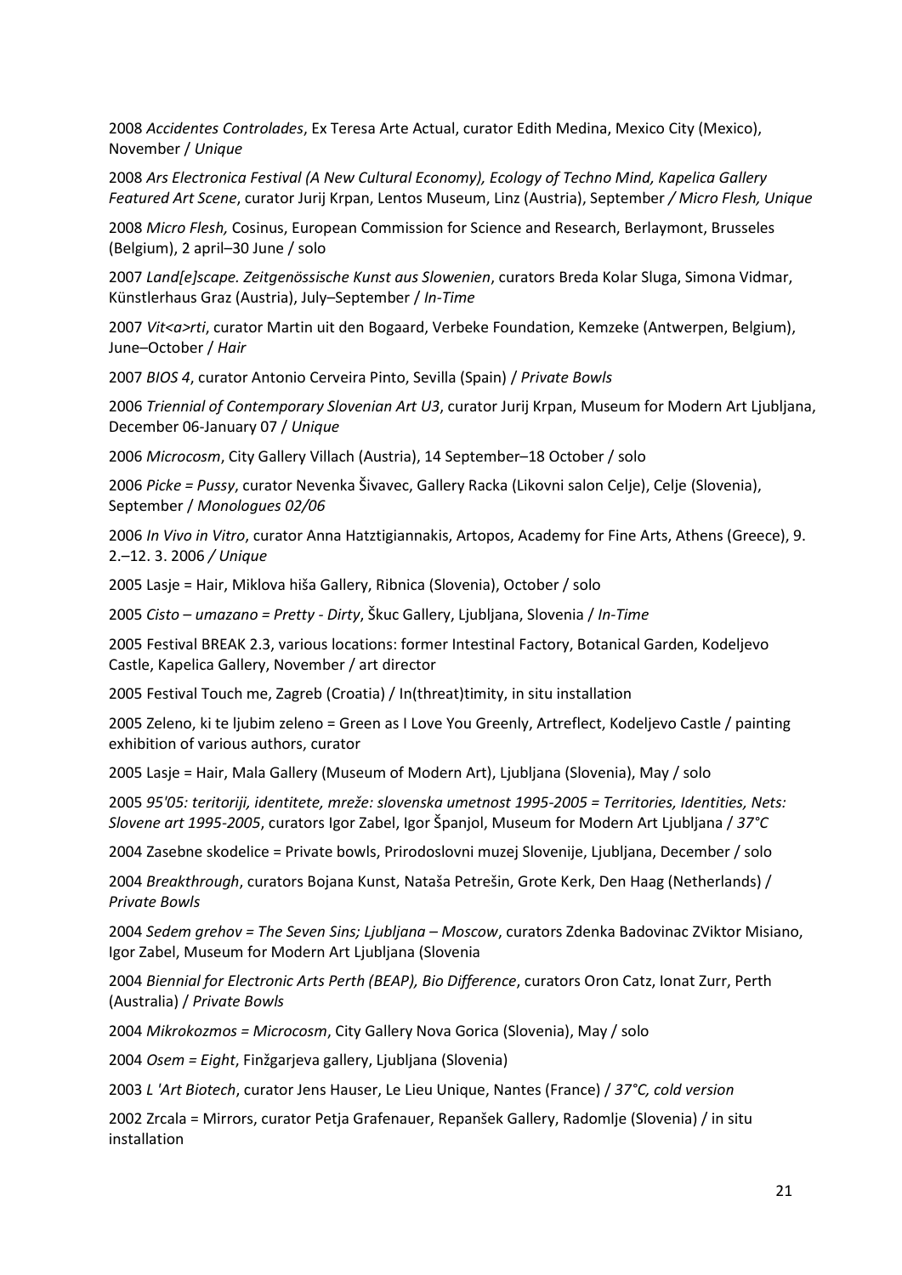2008 Accidentes Controlades, Ex Teresa Arte Actual, curator Edith Medina, Mexico City (Mexico), November / Unique

2008 Ars Electronica Festival (A New Cultural Economy), Ecology of Techno Mind, Kapelica Gallery Featured Art Scene, curator Jurij Krpan, Lentos Museum, Linz (Austria), September / Micro Flesh, Unique

2008 Micro Flesh, Cosinus, European Commission for Science and Research, Berlaymont, Brusseles (Belgium), 2 april–30 June / solo

2007 Land[e]scape. Zeitgenössische Kunst aus Slowenien, curators Breda Kolar Sluga, Simona Vidmar, Künstlerhaus Graz (Austria), July–September / In-Time

2007 Vit<a>rti, curator Martin uit den Bogaard, Verbeke Foundation, Kemzeke (Antwerpen, Belgium), June–October / Hair

2007 BIOS 4, curator Antonio Cerveira Pinto, Sevilla (Spain) / Private Bowls

2006 Triennial of Contemporary Slovenian Art U3, curator Jurij Krpan, Museum for Modern Art Ljubljana, December 06-January 07 / Unique

2006 Microcosm, City Gallery Villach (Austria), 14 September–18 October / solo

2006 Picke = Pussy, curator Nevenka Šivavec, Gallery Racka (Likovni salon Celje), Celje (Slovenia), September / Monologues 02/06

2006 In Vivo in Vitro, curator Anna Hatztigiannakis, Artopos, Academy for Fine Arts, Athens (Greece), 9. 2.–12. 3. 2006 / Unique

2005 Lasje = Hair, Miklova hiša Gallery, Ribnica (Slovenia), October / solo

2005 Cisto – umazano = Pretty - Dirty, Škuc Gallery, Ljubljana, Slovenia / In-Time

2005 Festival BREAK 2.3, various locations: former Intestinal Factory, Botanical Garden, Kodeljevo Castle, Kapelica Gallery, November / art director

2005 Festival Touch me, Zagreb (Croatia) / In(threat)timity, in situ installation

2005 Zeleno, ki te ljubim zeleno = Green as I Love You Greenly, Artreflect, Kodeljevo Castle / painting exhibition of various authors, curator

2005 Lasje = Hair, Mala Gallery (Museum of Modern Art), Ljubljana (Slovenia), May / solo

2005 95'05: teritoriji, identitete, mreže: slovenska umetnost 1995-2005 = Territories, Identities, Nets: Slovene art 1995-2005, curators Igor Zabel, Igor Španjol, Museum for Modern Art Ljubljana / 37°C

2004 Zasebne skodelice = Private bowls, Prirodoslovni muzej Slovenije, Ljubljana, December / solo

2004 Breakthrough, curators Bojana Kunst, Nataša Petrešin, Grote Kerk, Den Haag (Netherlands) / Private Bowls

2004 Sedem grehov = The Seven Sins; Ljubljana – Moscow, curators Zdenka Badovinac ZViktor Misiano, Igor Zabel, Museum for Modern Art Ljubljana (Slovenia

2004 Biennial for Electronic Arts Perth (BEAP), Bio Difference, curators Oron Catz, Ionat Zurr, Perth (Australia) / Private Bowls

2004 Mikrokozmos = Microcosm, City Gallery Nova Gorica (Slovenia), May / solo

2004 Osem = Eight, Finžgarjeva gallery, Ljubljana (Slovenia)

2003 L 'Art Biotech, curator Jens Hauser, Le Lieu Unique, Nantes (France) / 37°C, cold version

2002 Zrcala = Mirrors, curator Petja Grafenauer, Repanšek Gallery, Radomlje (Slovenia) / in situ installation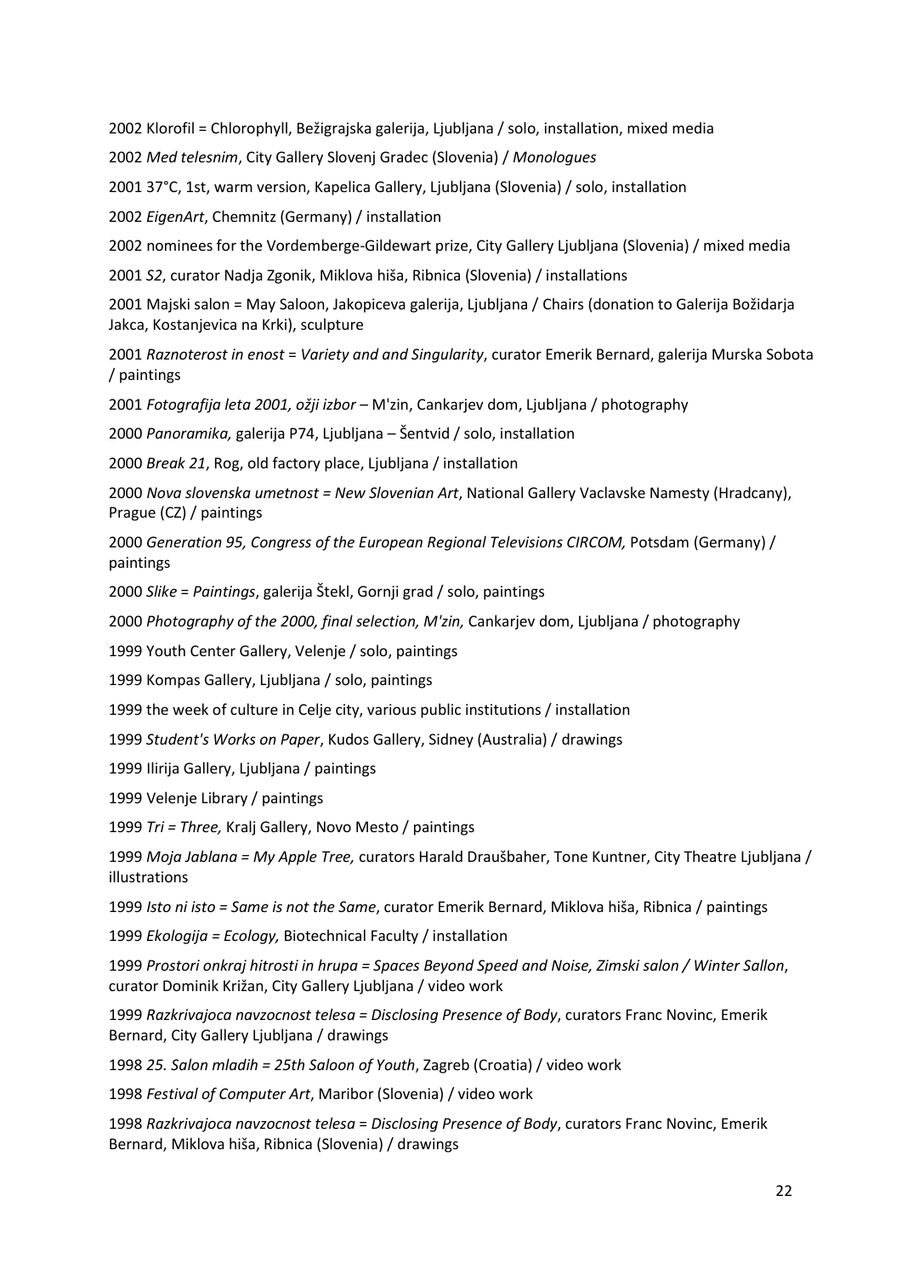2002 Klorofil = Chlorophyll, Bežigrajska galerija, Ljubljana / solo, installation, mixed media

2002 Med telesnim, City Gallery Slovenj Gradec (Slovenia) / Monologues

2001 37°C, 1st, warm version, Kapelica Gallery, Ljubljana (Slovenia) / solo, installation

2002 EigenArt, Chemnitz (Germany) / installation

2002 nominees for the Vordemberge-Gildewart prize, City Gallery Ljubljana (Slovenia) / mixed media

2001 S2, curator Nadja Zgonik, Miklova hiša, Ribnica (Slovenia) / installations

2001 Majski salon = May Saloon, Jakopiceva galerija, Ljubljana / Chairs (donation to Galerija Božidarja Jakca, Kostanjevica na Krki), sculpture

2001 Raznoterost in enost = Variety and and Singularity, curator Emerik Bernard, galerija Murska Sobota / paintings

2001 Fotografija leta 2001, ožji izbor – M'zin, Cankarjev dom, Ljubljana / photography

2000 Panoramika, galerija P74, Ljubljana – Šentvid / solo, installation

2000 Break 21, Rog, old factory place, Ljubljana / installation

2000 Nova slovenska umetnost = New Slovenian Art, National Gallery Vaclavske Namesty (Hradcany), Prague (CZ) / paintings

2000 Generation 95, Congress of the European Regional Televisions CIRCOM, Potsdam (Germany) / paintings

2000 Slike = Paintings, galerija Štekl, Gornji grad / solo, paintings

2000 Photography of the 2000, final selection, M'zin, Cankarjev dom, Ljubljana / photography

1999 Youth Center Gallery, Velenje / solo, paintings

1999 Kompas Gallery, Ljubljana / solo, paintings

1999 the week of culture in Celje city, various public institutions / installation

1999 Student's Works on Paper, Kudos Gallery, Sidney (Australia) / drawings

1999 Ilirija Gallery, Ljubljana / paintings

1999 Velenje Library / paintings

1999 Tri = Three, Kralj Gallery, Novo Mesto / paintings

1999 Moja Jablana = My Apple Tree, curators Harald Draušbaher, Tone Kuntner, City Theatre Ljubljana / illustrations

1999 Isto ni isto = Same is not the Same, curator Emerik Bernard, Miklova hiša, Ribnica / paintings

1999 Ekologija = Ecology, Biotechnical Faculty / installation

1999 Prostori onkraj hitrosti in hrupa = Spaces Beyond Speed and Noise, Zimski salon / Winter Sallon, curator Dominik Križan, City Gallery Ljubljana / video work

1999 Razkrivajoca navzocnost telesa = Disclosing Presence of Body, curators Franc Novinc, Emerik Bernard, City Gallery Ljubljana / drawings

1998 25. Salon mladih = 25th Saloon of Youth, Zagreb (Croatia) / video work

1998 Festival of Computer Art, Maribor (Slovenia) / video work

1998 Razkrivajoca navzocnost telesa = Disclosing Presence of Body, curators Franc Novinc, Emerik Bernard, Miklova hiša, Ribnica (Slovenia) / drawings